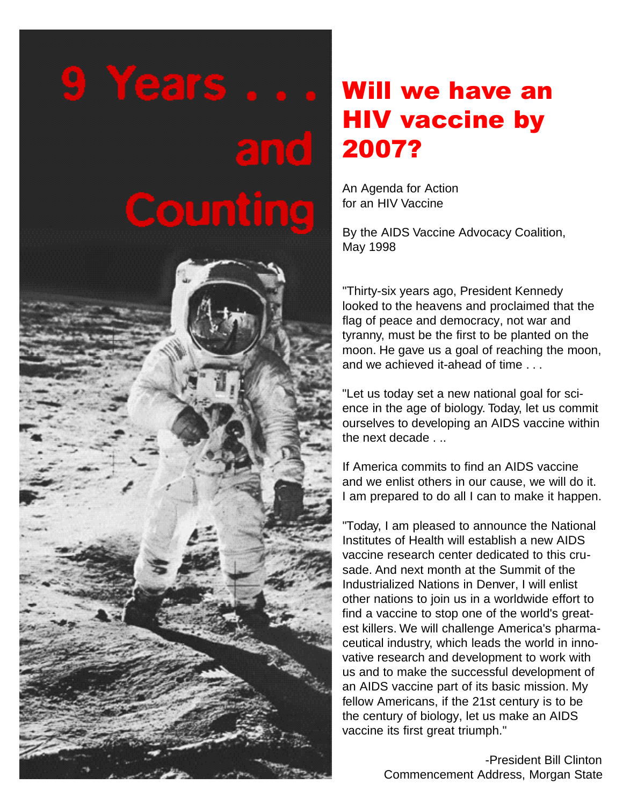# 9 Years ..

# $\epsilon$  in to i Counting



## Will we have an HIV vaccine by 2007?

An Agenda for Action for an HIV Vaccine

By the AIDS Vaccine Advocacy Coalition, May 1998

"Thirty-six years ago, President Kennedy looked to the heavens and proclaimed that the flag of peace and democracy, not war and tyranny, must be the first to be planted on the moon. He gave us a goal of reaching the moon, and we achieved it-ahead of time . . .

"Let us today set a new national goal for science in the age of biology. Today, let us commit ourselves to developing an AIDS vaccine within the next decade . ..

If America commits to find an AIDS vaccine and we enlist others in our cause, we will do it. I am prepared to do all I can to make it happen.

"Today, I am pleased to announce the National Institutes of Health will establish a new AIDS vaccine research center dedicated to this crusade. And next month at the Summit of the Industrialized Nations in Denver, I will enlist other nations to join us in a worldwide effort to find a vaccine to stop one of the world's greatest killers. We will challenge America's pharmaceutical industry, which leads the world in innovative research and development to work with us and to make the successful development of an AIDS vaccine part of its basic mission. My fellow Americans, if the 21st century is to be the century of biology, let us make an AIDS vaccine its first great triumph."

> -President Bill Clinton Commencement Address, Morgan State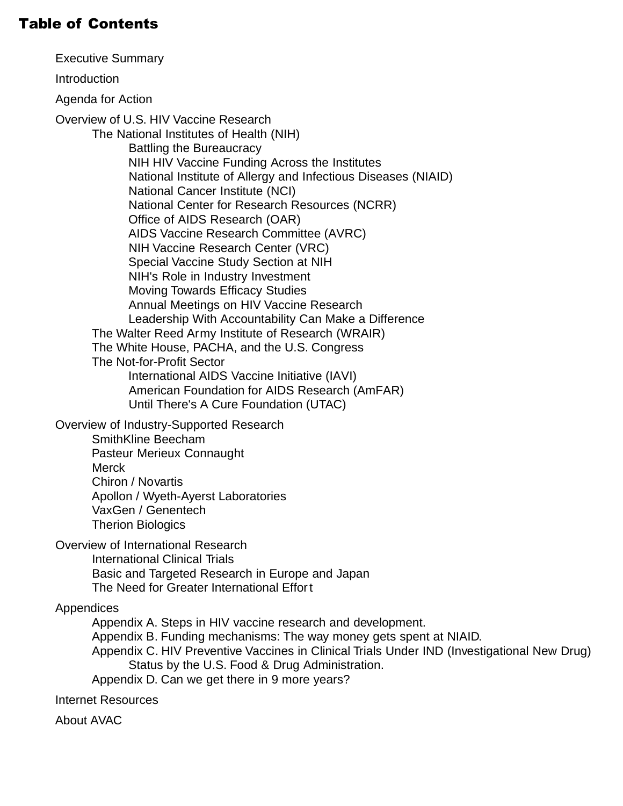### Table of Contents

[Executive Summary](#page-2-0)

[Introduction](#page-4-0)

[Agenda for Action](#page-5-0)

Overview of U.S. [HIV Vaccine Research](#page-12-0)

[The National Institutes of Health \(NIH\)](#page-12-0) 

[Battling the Bureaucracy](#page-13-0)  [NIH HIV Vaccine Funding Across the Institutes](#page-14-0)  [National Institute of Allergy and Infectious Diseases \(NIAID\)](#page-16-0)  [National Cancer Institute \(NCI\)](#page-17-0)  [National Center for Research Resources \(NCRR\)](#page-18-0)  [Office of AIDS Research \(OAR\)](#page-18-0)  [AIDS Vaccine Research Committee \(AVRC\)](#page-18-0)  [NIH Vaccine Research Center \(VRC\)](#page-19-0)  [Special Vaccine Study Section at NIH](#page-20-0)  [NIH's Role in Industry Investment](#page-20-0)  [Moving Towards Efficacy Studies](#page-21-0)  [Annual Meetings on HIV Vaccine Research](#page-22-0)  [Leadership With Accountability Can Make a Difference](#page-23-0) [The Walter Reed Army Institute of Research \(WRAIR\)](#page-24-0) [The White House, PACHA, and the U.S.](#page-25-0) Congress [The Not-for-Profit Sector](#page-26-0)  [International AIDS Vaccine Initiative \(IAVI\)](#page-26-0)  [American Foundation for AIDS Research \(AmFAR\)](#page-26-0)  [Until There's A Cure Foundation \(UTAC\)](#page-26-0)

[Overview of Industry-Supported Research](#page-27-0) 

[SmithKline Beecham](#page-28-0)  [Pasteur Merieux Connaught](#page-28-0)  [Merck](#page-29-0) [Chiron / Novartis](#page-29-0)  [Apollon / Wyeth-Ayerst Laboratories](#page-30-0)  [VaxGen / Genentech](#page-30-0)  [Therion Biologics](#page-31-0)

[Overview of International Research](#page-31-0)  [International Clinical Trials](#page-31-0) 

[Basic and Targeted Research in Europe and Japan](#page-32-0) 

[The Need for Greater International Effort](#page-33-0)

#### **Appendices**

Appendix A. [Steps in HIV vaccine research and development.](#page-34-0)

Appendix B. Funding mechanisms: [The way money gets spent at NIAID.](#page-35-0)

Appendix C. [HIV Preventive Vaccines in Clinical Trials Under IND \(Investigational New Drug\)](#page-36-0)  Status by the U.S. Food & Drug Administration.

Appendix D. [Can we get there in 9 more years?](#page-37-0)

[Internet Resources](#page-38-0)

[About AVAC](#page-38-0)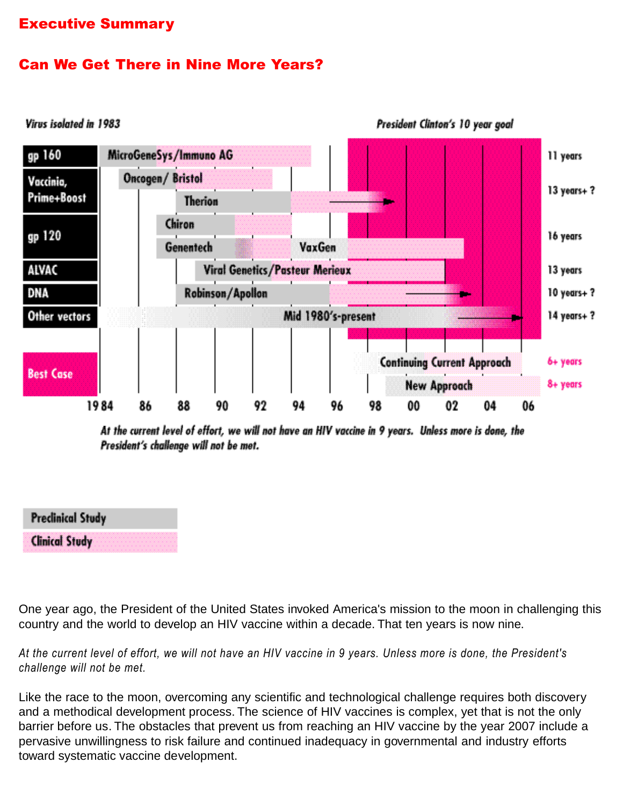#### <span id="page-2-0"></span>Executive Summary

#### Can We Get There in Nine More Years?



At the current level of effort, we will not have an HIV vaccine in 9 years. Unless more is done, the President's challenge will not be met.

| <b>Predinical Study</b> |                                                                      |  |  |  |  |
|-------------------------|----------------------------------------------------------------------|--|--|--|--|
| <b>Clinical Study</b>   | <b>AND AND AN AN AN AN AN AN AN AN AN AN AN</b><br><b>CARL CARDS</b> |  |  |  |  |

One year ago, the President of the United States invoked America's mission to the moon in challenging this country and the world to develop an HIV vaccine within a decade. That ten years is now nine.

*At the current level of effort, we will not have an HIV vaccine in 9 years. Unless more is done, the President's challenge will not be met.*

Like the race to the moon, overcoming any scientific and technological challenge requires both discovery and a methodical development process. The science of HIV vaccines is complex, yet that is not the only barrier before us. The obstacles that prevent us from reaching an HIV vaccine by the year 2007 include a pervasive unwillingness to risk failure and continued inadequacy in governmental and industry efforts toward systematic vaccine development.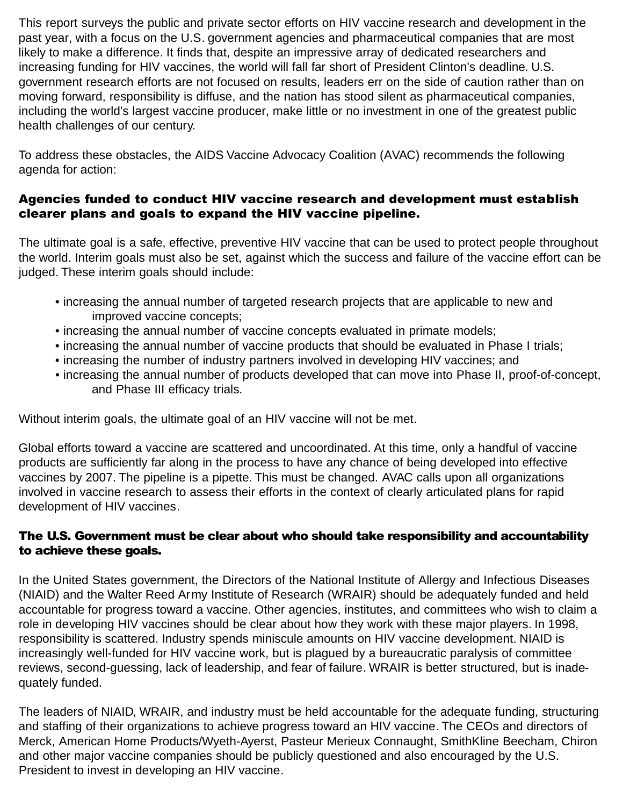This report surveys the public and private sector efforts on HIV vaccine research and development in the past year, with a focus on the U.S. government agencies and pharmaceutical companies that are most likely to make a difference. It finds that, despite an impressive array of dedicated researchers and increasing funding for HIV vaccines, the world will fall far short of President Clinton's deadline. U.S. government research efforts are not focused on results, leaders err on the side of caution rather than on moving forward, responsibility is diffuse, and the nation has stood silent as pharmaceutical companies, including the world's largest vaccine producer, make little or no investment in one of the greatest public health challenges of our century.

To address these obstacles, the AIDS Vaccine Advocacy Coalition (AVAC) recommends the following agenda for action:

#### Agencies funded to conduct HIV vaccine research and development must establish clearer plans and goals to expand the HIV vaccine pipeline.

The ultimate goal is a safe, effective, preventive HIV vaccine that can be used to protect people throughout the world. Interim goals must also be set, against which the success and failure of the vaccine effort can be judged. These interim goals should include:

- increasing the annual number of targeted research projects that are applicable to new and improved vaccine concepts;
- increasing the annual number of vaccine concepts evaluated in primate models;
- increasing the annual number of vaccine products that should be evaluated in Phase I trials;
- increasing the number of industry partners involved in developing HIV vaccines; and
- increasing the annual number of products developed that can move into Phase II, proof-of-concept, and Phase III efficacy trials.

Without interim goals, the ultimate goal of an HIV vaccine will not be met.

Global efforts toward a vaccine are scattered and uncoordinated. At this time, only a handful of vaccine products are sufficiently far along in the process to have any chance of being developed into effective vaccines by 2007. The pipeline is a pipette. This must be changed. AVAC calls upon all organizations involved in vaccine research to assess their efforts in the context of clearly articulated plans for rapid development of HIV vaccines.

#### The U.S. Government must be clear about who should take responsibility and accountability to achieve these goals.

In the United States government, the Directors of the National Institute of Allergy and Infectious Diseases (NIAID) and the Walter Reed Army Institute of Research (WRAIR) should be adequately funded and held accountable for progress toward a vaccine. Other agencies, institutes, and committees who wish to claim a role in developing HIV vaccines should be clear about how they work with these major players. In 1998, responsibility is scattered. Industry spends miniscule amounts on HIV vaccine development. NIAID is increasingly well-funded for HIV vaccine work, but is plagued by a bureaucratic paralysis of committee reviews, second-guessing, lack of leadership, and fear of failure. WRAIR is better structured, but is inadequately funded.

The leaders of NIAID, WRAIR, and industry must be held accountable for the adequate funding, structuring and staffing of their organizations to achieve progress toward an HIV vaccine. The CEOs and directors of Merck, American Home Products/Wyeth-Ayerst, Pasteur Merieux Connaught, SmithKline Beecham, Chiron and other major vaccine companies should be publicly questioned and also encouraged by the U.S. President to invest in developing an HIV vaccine.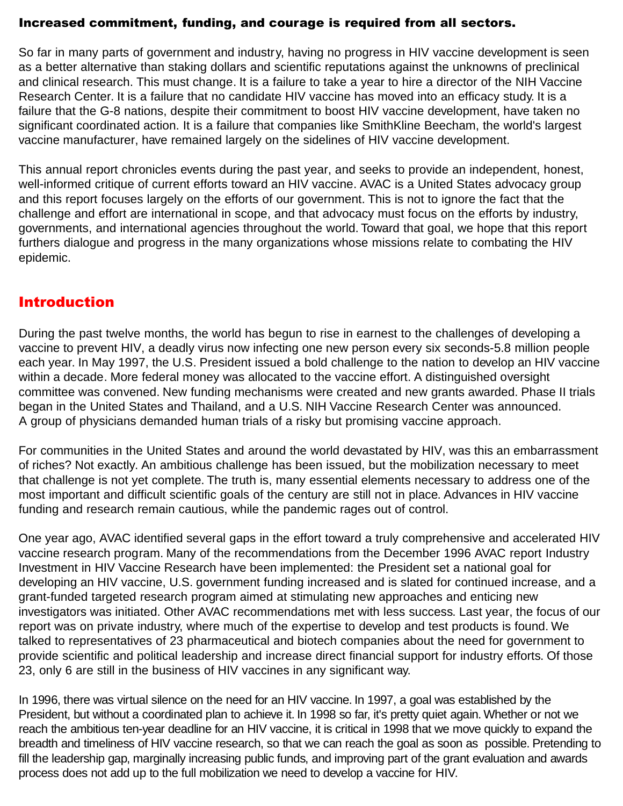#### <span id="page-4-0"></span>Increased commitment, funding, and courage is required from all sectors.

So far in many parts of government and industry, having no progress in HIV vaccine development is seen as a better alternative than staking dollars and scientific reputations against the unknowns of preclinical and clinical research. This must change. It is a failure to take a year to hire a director of the NIH Vaccine Research Center. It is a failure that no candidate HIV vaccine has moved into an efficacy study. It is a failure that the G-8 nations, despite their commitment to boost HIV vaccine development, have taken no significant coordinated action. It is a failure that companies like SmithKline Beecham, the world's largest vaccine manufacturer, have remained largely on the sidelines of HIV vaccine development.

This annual report chronicles events during the past year, and seeks to provide an independent, honest, well-informed critique of current efforts toward an HIV vaccine. AVAC is a United States advocacy group and this report focuses largely on the efforts of our government. This is not to ignore the fact that the challenge and effort are international in scope, and that advocacy must focus on the efforts by industry, governments, and international agencies throughout the world. Toward that goal, we hope that this report furthers dialogue and progress in the many organizations whose missions relate to combating the HIV epidemic.

## Introduction

During the past twelve months, the world has begun to rise in earnest to the challenges of developing a vaccine to prevent HIV, a deadly virus now infecting one new person every six seconds-5.8 million people each year. In May 1997, the U.S. President issued a bold challenge to the nation to develop an HIV vaccine within a decade. More federal money was allocated to the vaccine effort. A distinguished oversight committee was convened. New funding mechanisms were created and new grants awarded. Phase II trials began in the United States and Thailand, and a U.S. NIH Vaccine Research Center was announced. A group of physicians demanded human trials of a risky but promising vaccine approach.

For communities in the United States and around the world devastated by HIV, was this an embarrassment of riches? Not exactly. An ambitious challenge has been issued, but the mobilization necessary to meet that challenge is not yet complete. The truth is, many essential elements necessary to address one of the most important and difficult scientific goals of the century are still not in place. Advances in HIV vaccine funding and research remain cautious, while the pandemic rages out of control.

One year ago, AVAC identified several gaps in the effort toward a truly comprehensive and accelerated HIV vaccine research program. Many of the recommendations from the December 1996 AVAC report Industry Investment in HIV Vaccine Research have been implemented: the President set a national goal for developing an HIV vaccine, U.S. government funding increased and is slated for continued increase, and a grant-funded targeted research program aimed at stimulating new approaches and enticing new investigators was initiated. Other AVAC recommendations met with less success. Last year, the focus of our report was on private industry, where much of the expertise to develop and test products is found. We talked to representatives of 23 pharmaceutical and biotech companies about the need for government to provide scientific and political leadership and increase direct financial support for industry efforts. Of those 23, only 6 are still in the business of HIV vaccines in any significant way.

In 1996, there was virtual silence on the need for an HIV vaccine. In 1997, a goal was established by the President, but without a coordinated plan to achieve it. In 1998 so far, it's pretty quiet again. Whether or not we reach the ambitious ten-year deadline for an HIV vaccine, it is critical in 1998 that we move quickly to expand the breadth and timeliness of HIV vaccine research, so that we can reach the goal as soon as possible. Pretending to fill the leadership gap, marginally increasing public funds, and improving part of the grant evaluation and awards process does not add up to the full mobilization we need to develop a vaccine for HIV.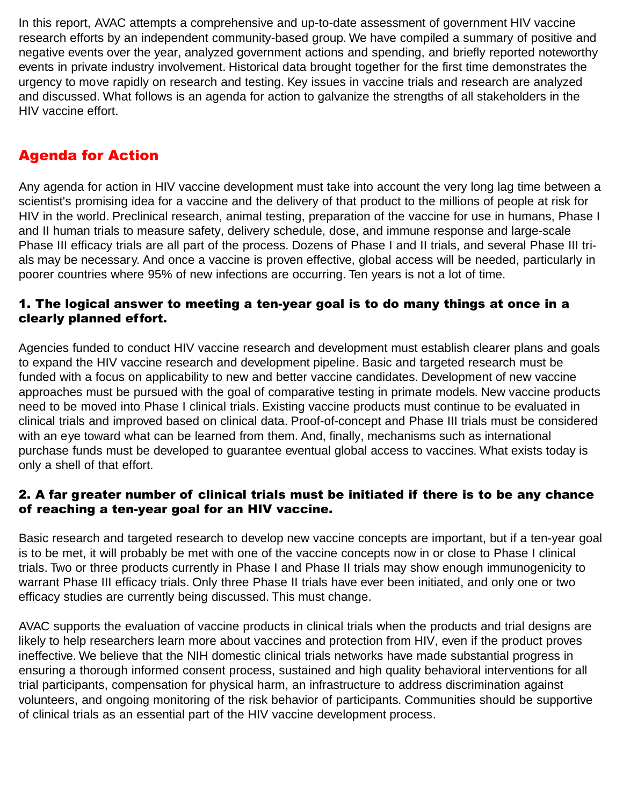<span id="page-5-0"></span>In this report, AVAC attempts a comprehensive and up-to-date assessment of government HIV vaccine research efforts by an independent community-based group. We have compiled a summary of positive and negative events over the year, analyzed government actions and spending, and briefly reported noteworthy events in private industry involvement. Historical data brought together for the first time demonstrates the urgency to move rapidly on research and testing. Key issues in vaccine trials and research are analyzed and discussed. What follows is an agenda for action to galvanize the strengths of all stakeholders in the HIV vaccine effort.

## Agenda for Action

Any agenda for action in HIV vaccine development must take into account the very long lag time between a scientist's promising idea for a vaccine and the delivery of that product to the millions of people at risk for HIV in the world. Preclinical research, animal testing, preparation of the vaccine for use in humans, Phase I and II human trials to measure safety, delivery schedule, dose, and immune response and large-scale Phase III efficacy trials are all part of the process. Dozens of Phase I and II trials, and several Phase III trials may be necessary. And once a vaccine is proven effective, global access will be needed, particularly in poorer countries where 95% of new infections are occurring. Ten years is not a lot of time.

#### 1. The logical answer to meeting a ten-year goal is to do many things at once in a clearly planned effort.

Agencies funded to conduct HIV vaccine research and development must establish clearer plans and goals to expand the HIV vaccine research and development pipeline. Basic and targeted research must be funded with a focus on applicability to new and better vaccine candidates. Development of new vaccine approaches must be pursued with the goal of comparative testing in primate models. New vaccine products need to be moved into Phase I clinical trials. Existing vaccine products must continue to be evaluated in clinical trials and improved based on clinical data. Proof-of-concept and Phase III trials must be considered with an eye toward what can be learned from them. And, finally, mechanisms such as international purchase funds must be developed to guarantee eventual global access to vaccines. What exists today is only a shell of that effort.

#### 2. A far greater number of clinical trials must be initiated if there is to be any chance of reaching a ten-year goal for an HIV vaccine.

Basic research and targeted research to develop new vaccine concepts are important, but if a ten-year goal is to be met, it will probably be met with one of the vaccine concepts now in or close to Phase I clinical trials. Two or three products currently in Phase I and Phase II trials may show enough immunogenicity to warrant Phase III efficacy trials. Only three Phase II trials have ever been initiated, and only one or two efficacy studies are currently being discussed. This must change.

AVAC supports the evaluation of vaccine products in clinical trials when the products and trial designs are likely to help researchers learn more about vaccines and protection from HIV, even if the product proves ineffective. We believe that the NIH domestic clinical trials networks have made substantial progress in ensuring a thorough informed consent process, sustained and high quality behavioral interventions for all trial participants, compensation for physical harm, an infrastructure to address discrimination against volunteers, and ongoing monitoring of the risk behavior of participants. Communities should be supportive of clinical trials as an essential part of the HIV vaccine development process.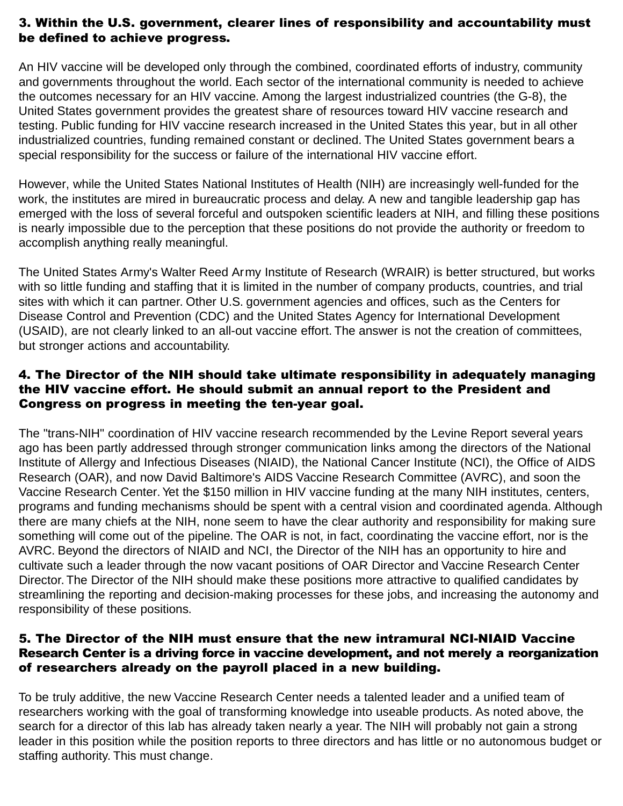#### 3. Within the U.S. government, clearer lines of responsibility and accountability must be defined to achieve progress.

An HIV vaccine will be developed only through the combined, coordinated efforts of industry, community and governments throughout the world. Each sector of the international community is needed to achieve the outcomes necessary for an HIV vaccine. Among the largest industrialized countries (the G-8), the United States government provides the greatest share of resources toward HIV vaccine research and testing. Public funding for HIV vaccine research increased in the United States this year, but in all other industrialized countries, funding remained constant or declined. The United States government bears a special responsibility for the success or failure of the international HIV vaccine effort.

However, while the United States National Institutes of Health (NIH) are increasingly well-funded for the work, the institutes are mired in bureaucratic process and delay. A new and tangible leadership gap has emerged with the loss of several forceful and outspoken scientific leaders at NIH, and filling these positions is nearly impossible due to the perception that these positions do not provide the authority or freedom to accomplish anything really meaningful.

The United States Army's Walter Reed Army Institute of Research (WRAIR) is better structured, but works with so little funding and staffing that it is limited in the number of company products, countries, and trial sites with which it can partner. Other U.S. government agencies and offices, such as the Centers for Disease Control and Prevention (CDC) and the United States Agency for International Development (USAID), are not clearly linked to an all-out vaccine effort. The answer is not the creation of committees, but stronger actions and accountability.

#### 4. The Director of the NIH should take ultimate responsibility in adequately managing the HIV vaccine effort. He should submit an annual report to the President and Congress on progress in meeting the ten-year goal.

The "trans-NIH" coordination of HIV vaccine research recommended by the Levine Report several years ago has been partly addressed through stronger communication links among the directors of the National Institute of Allergy and Infectious Diseases (NIAID), the National Cancer Institute (NCI), the Office of AIDS Research (OAR), and now David Baltimore's AIDS Vaccine Research Committee (AVRC), and soon the Vaccine Research Center. Yet the \$150 million in HIV vaccine funding at the many NIH institutes, centers, programs and funding mechanisms should be spent with a central vision and coordinated agenda. Although there are many chiefs at the NIH, none seem to have the clear authority and responsibility for making sure something will come out of the pipeline. The OAR is not, in fact, coordinating the vaccine effort, nor is the AVRC. Beyond the directors of NIAID and NCI, the Director of the NIH has an opportunity to hire and cultivate such a leader through the now vacant positions of OAR Director and Vaccine Research Center Director. The Director of the NIH should make these positions more attractive to qualified candidates by streamlining the reporting and decision-making processes for these jobs, and increasing the autonomy and responsibility of these positions.

#### 5. The Director of the NIH must ensure that the new intramural NCI-NIAID Vaccine Research Center is a driving force in vaccine development, and not merely a reorganization of researchers already on the payroll placed in a new building.

To be truly additive, the new Vaccine Research Center needs a talented leader and a unified team of researchers working with the goal of transforming knowledge into useable products. As noted above, the search for a director of this lab has already taken nearly a year. The NIH will probably not gain a strong leader in this position while the position reports to three directors and has little or no autonomous budget or staffing authority. This must change.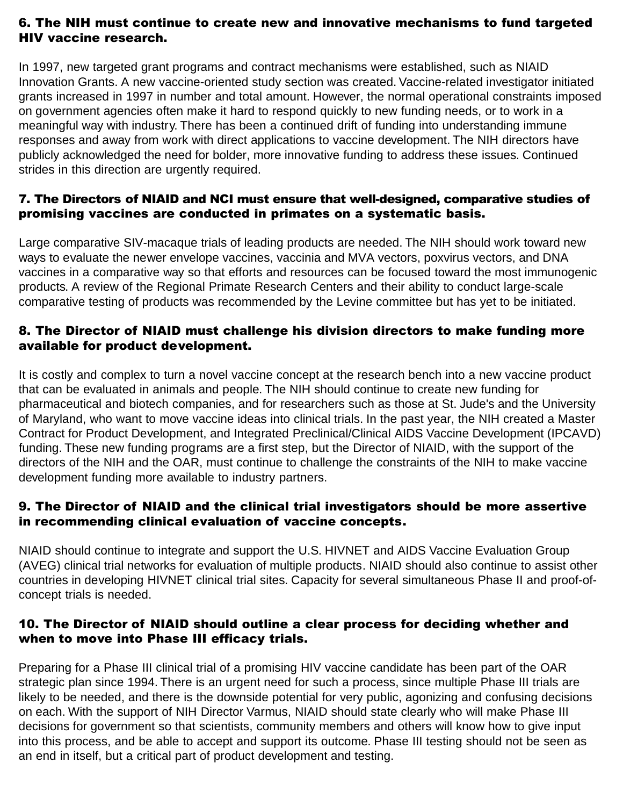#### 6. The NIH must continue to create new and innovative mechanisms to fund targeted HIV vaccine research.

In 1997, new targeted grant programs and contract mechanisms were established, such as NIAID Innovation Grants. A new vaccine-oriented study section was created. Vaccine-related investigator initiated grants increased in 1997 in number and total amount. However, the normal operational constraints imposed on government agencies often make it hard to respond quickly to new funding needs, or to work in a meaningful way with industry. There has been a continued drift of funding into understanding immune responses and away from work with direct applications to vaccine development. The NIH directors have publicly acknowledged the need for bolder, more innovative funding to address these issues. Continued strides in this direction are urgently required.

#### 7. The Directors of NIAID and NCI must ensure that well-designed, comparative studies of promising vaccines are conducted in primates on a systematic basis.

Large comparative SIV-macaque trials of leading products are needed. The NIH should work toward new ways to evaluate the newer envelope vaccines, vaccinia and MVA vectors, poxvirus vectors, and DNA vaccines in a comparative way so that efforts and resources can be focused toward the most immunogenic products. A review of the Regional Primate Research Centers and their ability to conduct large-scale comparative testing of products was recommended by the Levine committee but has yet to be initiated.

#### 8. The Director of NIAID must challenge his division directors to make funding more available for product development.

It is costly and complex to turn a novel vaccine concept at the research bench into a new vaccine product that can be evaluated in animals and people. The NIH should continue to create new funding for pharmaceutical and biotech companies, and for researchers such as those at St. Jude's and the University of Maryland, who want to move vaccine ideas into clinical trials. In the past year, the NIH created a Master Contract for Product Development, and Integrated Preclinical/Clinical AIDS Vaccine Development (IPCAVD) funding. These new funding programs are a first step, but the Director of NIAID, with the support of the directors of the NIH and the OAR, must continue to challenge the constraints of the NIH to make vaccine development funding more available to industry partners.

#### 9. The Director of NIAID and the clinical trial investigators should be more assertive in recommending clinical evaluation of vaccine concepts.

NIAID should continue to integrate and support the U.S. HIVNET and AIDS Vaccine Evaluation Group (AVEG) clinical trial networks for evaluation of multiple products. NIAID should also continue to assist other countries in developing HIVNET clinical trial sites. Capacity for several simultaneous Phase II and proof-ofconcept trials is needed.

#### 10. The Director of NIAID should outline a clear process for deciding whether and when to move into Phase III efficacy trials.

Preparing for a Phase III clinical trial of a promising HIV vaccine candidate has been part of the OAR strategic plan since 1994. There is an urgent need for such a process, since multiple Phase III trials are likely to be needed, and there is the downside potential for very public, agonizing and confusing decisions on each. With the support of NIH Director Varmus, NIAID should state clearly who will make Phase III decisions for government so that scientists, community members and others will know how to give input into this process, and be able to accept and support its outcome. Phase III testing should not be seen as an end in itself, but a critical part of product development and testing.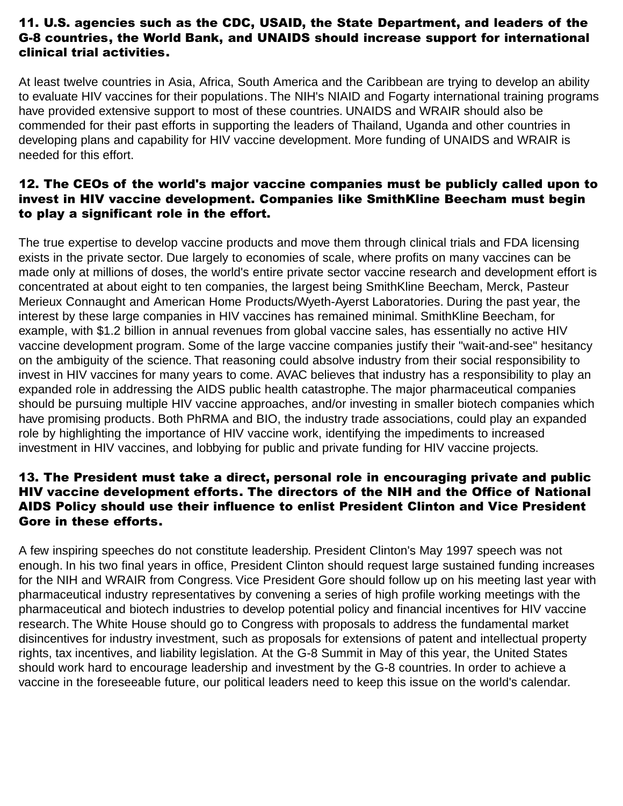#### 11. U.S. agencies such as the CDC, USAID, the State Department, and leaders of the G-8 countries, the World Bank, and UNAIDS should increase support for international clinical trial activities.

At least twelve countries in Asia, Africa, South America and the Caribbean are trying to develop an ability to evaluate HIV vaccines for their populations. The NIH's NIAID and Fogarty international training programs have provided extensive support to most of these countries. UNAIDS and WRAIR should also be commended for their past efforts in supporting the leaders of Thailand, Uganda and other countries in developing plans and capability for HIV vaccine development. More funding of UNAIDS and WRAIR is needed for this effort.

#### 12. The CEOs of the world's major vaccine companies must be publicly called upon to invest in HIV vaccine development. Companies like SmithKline Beecham must begin to play a significant role in the effort.

The true expertise to develop vaccine products and move them through clinical trials and FDA licensing exists in the private sector. Due largely to economies of scale, where profits on many vaccines can be made only at millions of doses, the world's entire private sector vaccine research and development effort is concentrated at about eight to ten companies, the largest being SmithKline Beecham, Merck, Pasteur Merieux Connaught and American Home Products/Wyeth-Ayerst Laboratories. During the past year, the interest by these large companies in HIV vaccines has remained minimal. SmithKline Beecham, for example, with \$1.2 billion in annual revenues from global vaccine sales, has essentially no active HIV vaccine development program. Some of the large vaccine companies justify their "wait-and-see" hesitancy on the ambiguity of the science. That reasoning could absolve industry from their social responsibility to invest in HIV vaccines for many years to come. AVAC believes that industry has a responsibility to play an expanded role in addressing the AIDS public health catastrophe. The major pharmaceutical companies should be pursuing multiple HIV vaccine approaches, and/or investing in smaller biotech companies which have promising products. Both PhRMA and BIO, the industry trade associations, could play an expanded role by highlighting the importance of HIV vaccine work, identifying the impediments to increased investment in HIV vaccines, and lobbying for public and private funding for HIV vaccine projects.

#### 13. The President must take a direct, personal role in encouraging private and public HIV vaccine development efforts. The directors of the NIH and the Office of National AIDS Policy should use their influence to enlist President Clinton and Vice President Gore in these efforts.

A few inspiring speeches do not constitute leadership. President Clinton's May 1997 speech was not enough. In his two final years in office, President Clinton should request large sustained funding increases for the NIH and WRAIR from Congress. Vice President Gore should follow up on his meeting last year with pharmaceutical industry representatives by convening a series of high profile working meetings with the pharmaceutical and biotech industries to develop potential policy and financial incentives for HIV vaccine research. The White House should go to Congress with proposals to address the fundamental market disincentives for industry investment, such as proposals for extensions of patent and intellectual property rights, tax incentives, and liability legislation. At the G-8 Summit in May of this year, the United States should work hard to encourage leadership and investment by the G-8 countries. In order to achieve a vaccine in the foreseeable future, our political leaders need to keep this issue on the world's calendar.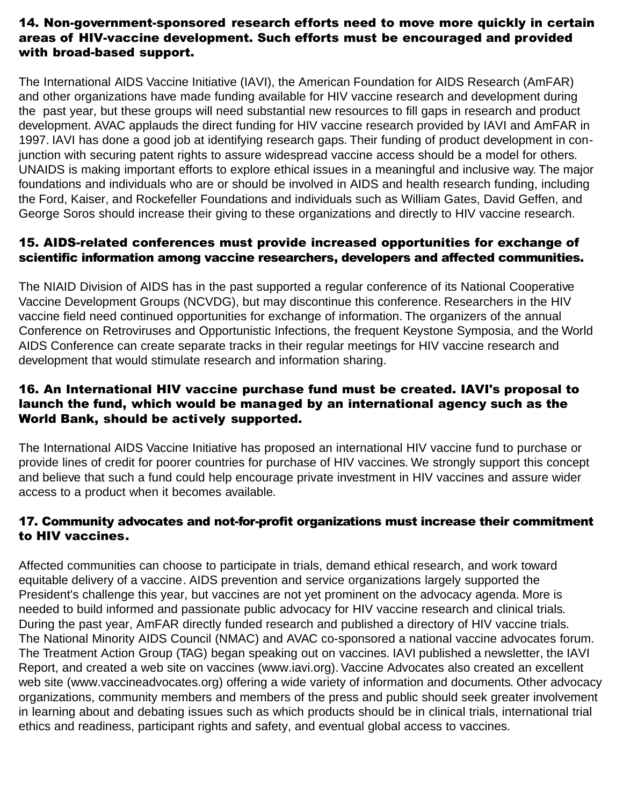#### 14. Non-government-sponsored research efforts need to move more quickly in certain areas of HIV-vaccine development. Such efforts must be encouraged and provided with broad-based support.

The International AIDS Vaccine Initiative (IAVI), the American Foundation for AIDS Research (AmFAR) and other organizations have made funding available for HIV vaccine research and development during the past year, but these groups will need substantial new resources to fill gaps in research and product development. AVAC applauds the direct funding for HIV vaccine research provided by IAVI and AmFAR in 1997. IAVI has done a good job at identifying research gaps. Their funding of product development in conjunction with securing patent rights to assure widespread vaccine access should be a model for others. UNAIDS is making important efforts to explore ethical issues in a meaningful and inclusive way. The major foundations and individuals who are or should be involved in AIDS and health research funding, including the Ford, Kaiser, and Rockefeller Foundations and individuals such as William Gates, David Geffen, and George Soros should increase their giving to these organizations and directly to HIV vaccine research.

#### 15. AIDS-related conferences must provide increased opportunities for exchange of scientific information among vaccine researchers, developers and affected communities.

The NIAID Division of AIDS has in the past supported a regular conference of its National Cooperative Vaccine Development Groups (NCVDG), but may discontinue this conference. Researchers in the HIV vaccine field need continued opportunities for exchange of information. The organizers of the annual Conference on Retroviruses and Opportunistic Infections, the frequent Keystone Symposia, and the World AIDS Conference can create separate tracks in their regular meetings for HIV vaccine research and development that would stimulate research and information sharing.

#### 16. An International HIV vaccine purchase fund must be created. IAVI's proposal to launch the fund, which would be managed by an international agency such as the World Bank, should be actively supported.

The International AIDS Vaccine Initiative has proposed an international HIV vaccine fund to purchase or provide lines of credit for poorer countries for purchase of HIV vaccines. We strongly support this concept and believe that such a fund could help encourage private investment in HIV vaccines and assure wider access to a product when it becomes available.

#### 17. Community advocates and not-for-profit organizations must increase their commitment to HIV vaccines.

Affected communities can choose to participate in trials, demand ethical research, and work toward equitable delivery of a vaccine. AIDS prevention and service organizations largely supported the President's challenge this year, but vaccines are not yet prominent on the advocacy agenda. More is needed to build informed and passionate public advocacy for HIV vaccine research and clinical trials. During the past year, AmFAR directly funded research and published a directory of HIV vaccine trials. The National Minority AIDS Council (NMAC) and AVAC co-sponsored a national vaccine advocates forum. The Treatment Action Group (TAG) began speaking out on vaccines. IAVI published a newsletter, the IAVI Report, and created a web site on vaccines (www.iavi.org). Vaccine Advocates also created an excellent web site (www.vaccineadvocates.org) offering a wide variety of information and documents. Other advocacy organizations, community members and members of the press and public should seek greater involvement in learning about and debating issues such as which products should be in clinical trials, international trial ethics and readiness, participant rights and safety, and eventual global access to vaccines.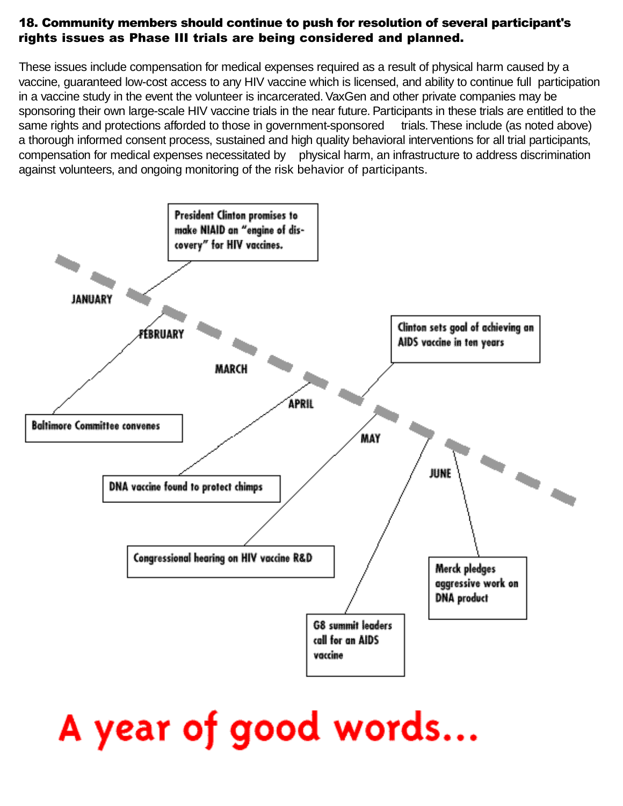#### 18. Community members should continue to push for resolution of several participant's rights issues as Phase III trials are being considered and planned.

These issues include compensation for medical expenses required as a result of physical harm caused by a vaccine, guaranteed low-cost access to any HIV vaccine which is licensed, and ability to continue full participation in a vaccine study in the event the volunteer is incarcerated. VaxGen and other private companies may be sponsoring their own large-scale HIV vaccine trials in the near future. Participants in these trials are entitled to the same rights and protections afforded to those in government-sponsored trials. These include (as noted above) a thorough informed consent process, sustained and high quality behavioral interventions for all trial participants, compensation for medical expenses necessitated by physical harm, an infrastructure to address discrimination against volunteers, and ongoing monitoring of the risk behavior of participants.



## A year of good words...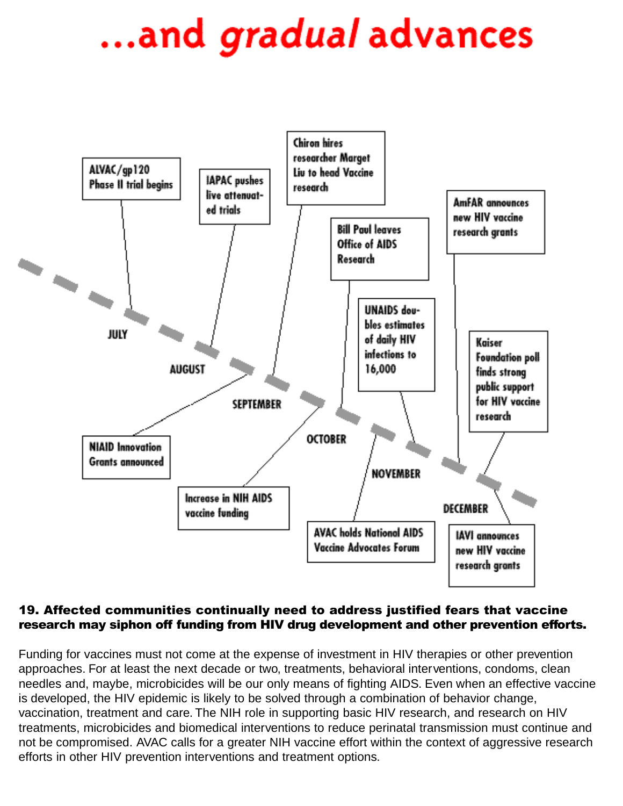## ...and *gradual* advances



#### 19. Affected communities continually need to address justified fears that vaccine research may siphon off funding from HIV drug development and other prevention efforts.

Funding for vaccines must not come at the expense of investment in HIV therapies or other prevention approaches. For at least the next decade or two, treatments, behavioral interventions, condoms, clean needles and, maybe, microbicides will be our only means of fighting AIDS. Even when an effective vaccine is developed, the HIV epidemic is likely to be solved through a combination of behavior change, vaccination, treatment and care. The NIH role in supporting basic HIV research, and research on HIV treatments, microbicides and biomedical interventions to reduce perinatal transmission must continue and not be compromised. AVAC calls for a greater NIH vaccine effort within the context of aggressive research efforts in other HIV prevention interventions and treatment options.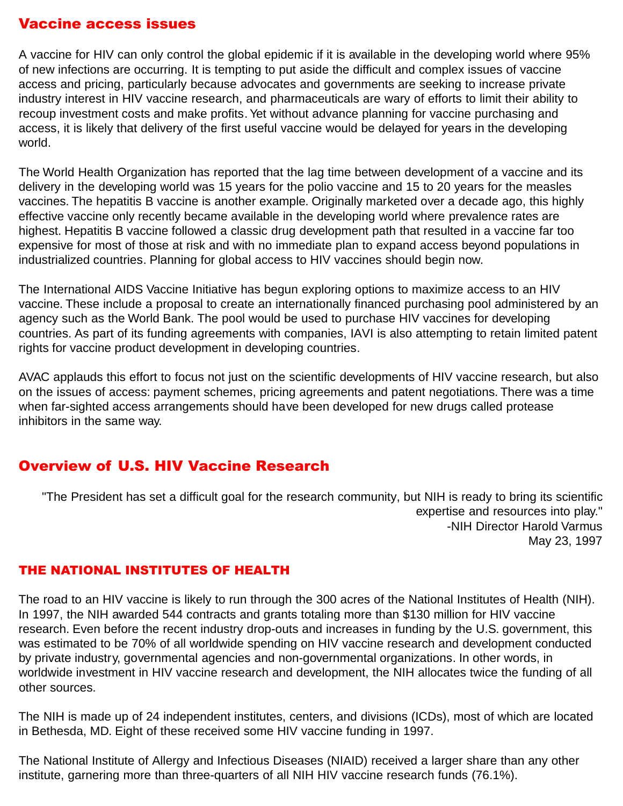#### <span id="page-12-0"></span>Vaccine access issues

A vaccine for HIV can only control the global epidemic if it is available in the developing world where 95% of new infections are occurring. It is tempting to put aside the difficult and complex issues of vaccine access and pricing, particularly because advocates and governments are seeking to increase private industry interest in HIV vaccine research, and pharmaceuticals are wary of efforts to limit their ability to recoup investment costs and make profits. Yet without advance planning for vaccine purchasing and access, it is likely that delivery of the first useful vaccine would be delayed for years in the developing world.

The World Health Organization has reported that the lag time between development of a vaccine and its delivery in the developing world was 15 years for the polio vaccine and 15 to 20 years for the measles vaccines. The hepatitis B vaccine is another example. Originally marketed over a decade ago, this highly effective vaccine only recently became available in the developing world where prevalence rates are highest. Hepatitis B vaccine followed a classic drug development path that resulted in a vaccine far too expensive for most of those at risk and with no immediate plan to expand access beyond populations in industrialized countries. Planning for global access to HIV vaccines should begin now.

The International AIDS Vaccine Initiative has begun exploring options to maximize access to an HIV vaccine. These include a proposal to create an internationally financed purchasing pool administered by an agency such as the World Bank. The pool would be used to purchase HIV vaccines for developing countries. As part of its funding agreements with companies, IAVI is also attempting to retain limited patent rights for vaccine product development in developing countries.

AVAC applauds this effort to focus not just on the scientific developments of HIV vaccine research, but also on the issues of access: payment schemes, pricing agreements and patent negotiations. There was a time when far-sighted access arrangements should have been developed for new drugs called protease inhibitors in the same way.

## Overview of U.S. HIV Vaccine Research

"The President has set a difficult goal for the research community, but NIH is ready to bring its scientific expertise and resources into play." -NIH Director Harold Varmus May 23, 1997

#### THE NATIONAL INSTITUTES OF HEALTH

The road to an HIV vaccine is likely to run through the 300 acres of the National Institutes of Health (NIH). In 1997, the NIH awarded 544 contracts and grants totaling more than \$130 million for HIV vaccine research. Even before the recent industry drop-outs and increases in funding by the U.S. government, this was estimated to be 70% of all worldwide spending on HIV vaccine research and development conducted by private industry, governmental agencies and non-governmental organizations. In other words, in worldwide investment in HIV vaccine research and development, the NIH allocates twice the funding of all other sources.

The NIH is made up of 24 independent institutes, centers, and divisions (ICDs), most of which are located in Bethesda, MD. Eight of these received some HIV vaccine funding in 1997.

The National Institute of Allergy and Infectious Diseases (NIAID) received a larger share than any other institute, garnering more than three-quarters of all NIH HIV vaccine research funds (76.1%).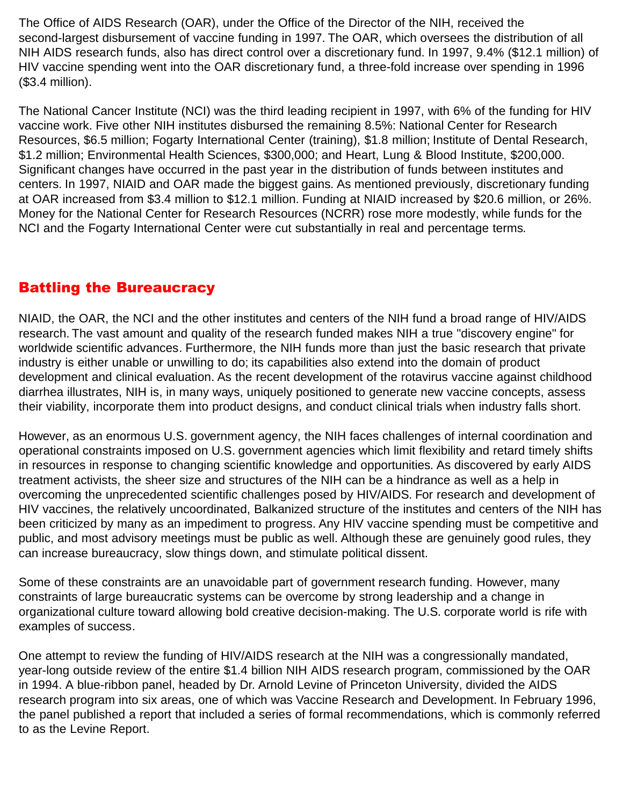<span id="page-13-0"></span>The Office of AIDS Research (OAR), under the Office of the Director of the NIH, received the second-largest disbursement of vaccine funding in 1997. The OAR, which oversees the distribution of all NIH AIDS research funds, also has direct control over a discretionary fund. In 1997, 9.4% (\$12.1 million) of HIV vaccine spending went into the OAR discretionary fund, a three-fold increase over spending in 1996 (\$3.4 million).

The National Cancer Institute (NCI) was the third leading recipient in 1997, with 6% of the funding for HIV vaccine work. Five other NIH institutes disbursed the remaining 8.5%: National Center for Research Resources, \$6.5 million; Fogarty International Center (training), \$1.8 million; Institute of Dental Research, \$1.2 million; Environmental Health Sciences, \$300,000; and Heart, Lung & Blood Institute, \$200,000. Significant changes have occurred in the past year in the distribution of funds between institutes and centers. In 1997, NIAID and OAR made the biggest gains. As mentioned previously, discretionary funding at OAR increased from \$3.4 million to \$12.1 million. Funding at NIAID increased by \$20.6 million, or 26%. Money for the National Center for Research Resources (NCRR) rose more modestly, while funds for the NCI and the Fogarty International Center were cut substantially in real and percentage terms.

## Battling the Bureaucracy

NIAID, the OAR, the NCI and the other institutes and centers of the NIH fund a broad range of HIV/AIDS research. The vast amount and quality of the research funded makes NIH a true "discovery engine" for worldwide scientific advances. Furthermore, the NIH funds more than just the basic research that private industry is either unable or unwilling to do; its capabilities also extend into the domain of product development and clinical evaluation. As the recent development of the rotavirus vaccine against childhood diarrhea illustrates, NIH is, in many ways, uniquely positioned to generate new vaccine concepts, assess their viability, incorporate them into product designs, and conduct clinical trials when industry falls short.

However, as an enormous U.S. government agency, the NIH faces challenges of internal coordination and operational constraints imposed on U.S. government agencies which limit flexibility and retard timely shifts in resources in response to changing scientific knowledge and opportunities. As discovered by early AIDS treatment activists, the sheer size and structures of the NIH can be a hindrance as well as a help in overcoming the unprecedented scientific challenges posed by HIV/AIDS. For research and development of HIV vaccines, the relatively uncoordinated, Balkanized structure of the institutes and centers of the NIH has been criticized by many as an impediment to progress. Any HIV vaccine spending must be competitive and public, and most advisory meetings must be public as well. Although these are genuinely good rules, they can increase bureaucracy, slow things down, and stimulate political dissent.

Some of these constraints are an unavoidable part of government research funding. However, many constraints of large bureaucratic systems can be overcome by strong leadership and a change in organizational culture toward allowing bold creative decision-making. The U.S. corporate world is rife with examples of success.

One attempt to review the funding of HIV/AIDS research at the NIH was a congressionally mandated, year-long outside review of the entire \$1.4 billion NIH AIDS research program, commissioned by the OAR in 1994. A blue-ribbon panel, headed by Dr. Arnold Levine of Princeton University, divided the AIDS research program into six areas, one of which was Vaccine Research and Development. In February 1996, the panel published a report that included a series of formal recommendations, which is commonly referred to as the Levine Report.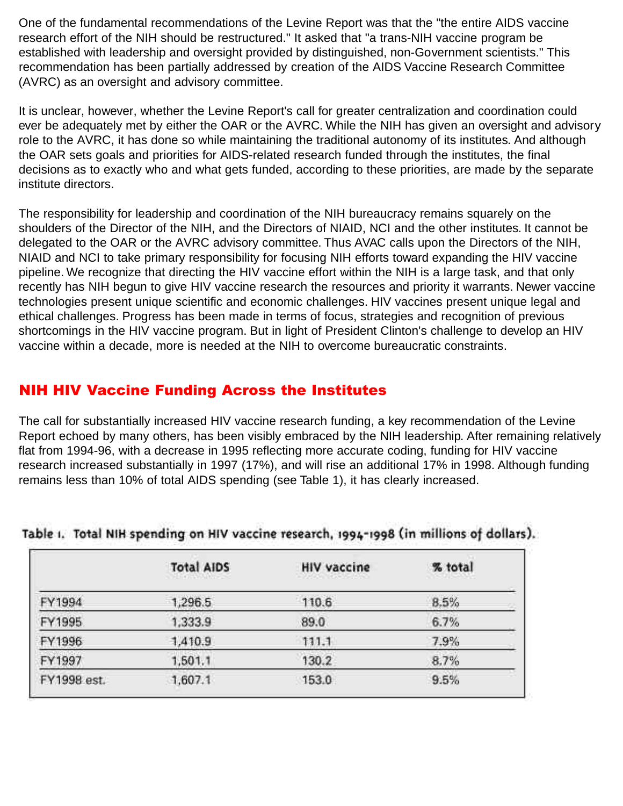<span id="page-14-0"></span>One of the fundamental recommendations of the Levine Report was that the "the entire AIDS vaccine research effort of the NIH should be restructured." It asked that "a trans-NIH vaccine program be established with leadership and oversight provided by distinguished, non-Government scientists." This recommendation has been partially addressed by creation of the AIDS Vaccine Research Committee (AVRC) as an oversight and advisory committee.

It is unclear, however, whether the Levine Report's call for greater centralization and coordination could ever be adequately met by either the OAR or the AVRC. While the NIH has given an oversight and advisory role to the AVRC, it has done so while maintaining the traditional autonomy of its institutes. And although the OAR sets goals and priorities for AIDS-related research funded through the institutes, the final decisions as to exactly who and what gets funded, according to these priorities, are made by the separate institute directors.

The responsibility for leadership and coordination of the NIH bureaucracy remains squarely on the shoulders of the Director of the NIH, and the Directors of NIAID, NCI and the other institutes. It cannot be delegated to the OAR or the AVRC advisory committee. Thus AVAC calls upon the Directors of the NIH, NIAID and NCI to take primary responsibility for focusing NIH efforts toward expanding the HIV vaccine pipeline. We recognize that directing the HIV vaccine effort within the NIH is a large task, and that only recently has NIH begun to give HIV vaccine research the resources and priority it warrants. Newer vaccine technologies present unique scientific and economic challenges. HIV vaccines present unique legal and ethical challenges. Progress has been made in terms of focus, strategies and recognition of previous shortcomings in the HIV vaccine program. But in light of President Clinton's challenge to develop an HIV vaccine within a decade, more is needed at the NIH to overcome bureaucratic constraints.

## NIH HIV Vaccine Funding Across the Institutes

The call for substantially increased HIV vaccine research funding, a key recommendation of the Levine Report echoed by many others, has been visibly embraced by the NIH leadership. After remaining relatively flat from 1994-96, with a decrease in 1995 reflecting more accurate coding, funding for HIV vaccine research increased substantially in 1997 (17%), and will rise an additional 17% in 1998. Although funding remains less than 10% of total AIDS spending (see Table 1), it has clearly increased.

|             | <b>Total AIDS</b><br>the control of the second function and | <b>HIV vaccine</b><br>the company is the company of the little | % total |
|-------------|-------------------------------------------------------------|----------------------------------------------------------------|---------|
| FY1994      | 1,296.5                                                     | 110.6                                                          | 8.5%    |
| FY1995      | 1,333.9                                                     | 89.0                                                           | 6.7%    |
| FY1996      | 1,410.9                                                     | 111.1                                                          | 7.9%    |
| FY1997      | 1,501.1                                                     | 130.2                                                          | 8.7%    |
| FY1998 est. | 1,607.1                                                     | 153.0                                                          | 9.5%    |

#### Table 1. Total NIH spending on HIV vaccine research, 1994-1998 (in millions of dollars).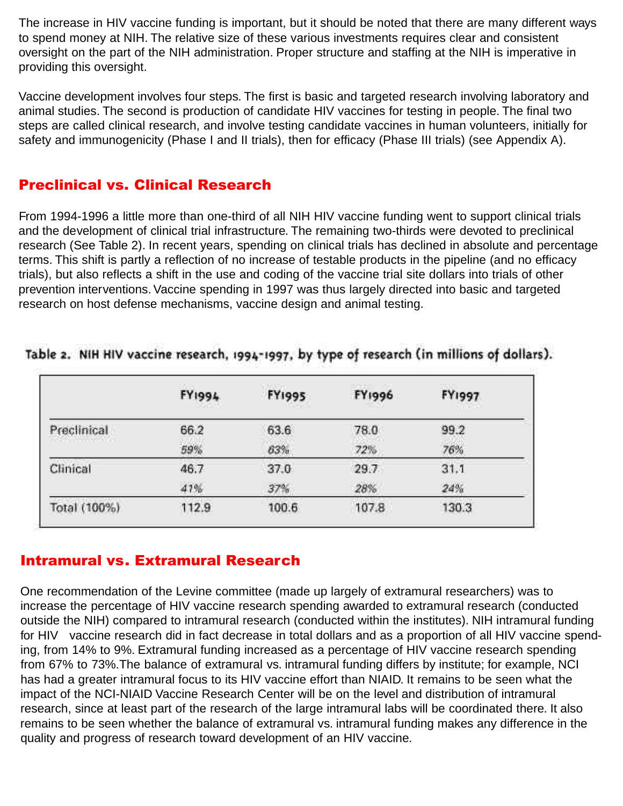The increase in HIV vaccine funding is important, but it should be noted that there are many different ways to spend money at NIH. The relative size of these various investments requires clear and consistent oversight on the part of the NIH administration. Proper structure and staffing at the NIH is imperative in providing this oversight.

Vaccine development involves four steps. The first is basic and targeted research involving laboratory and animal studies. The second is production of candidate HIV vaccines for testing in people. The final two steps are called clinical research, and involve testing candidate vaccines in human volunteers, initially for safety and immunogenicity (Phase I and II trials), then for efficacy (Phase III trials) (see Appendix A).

#### Preclinical vs. Clinical Research

From 1994-1996 a little more than one-third of all NIH HIV vaccine funding went to support clinical trials and the development of clinical trial infrastructure. The remaining two-thirds were devoted to preclinical research (See Table 2). In recent years, spending on clinical trials has declined in absolute and percentage terms. This shift is partly a reflection of no increase of testable products in the pipeline (and no efficacy trials), but also reflects a shift in the use and coding of the vaccine trial site dollars into trials of other prevention interventions. Vaccine spending in 1997 was thus largely directed into basic and targeted research on host defense mechanisms, vaccine design and animal testing.

|                                                      | <b>FY1994</b> | <b>FY1995</b> | <b>FY1996</b> | <b>A ROLL BY AN</b><br><b>FY1997</b> |
|------------------------------------------------------|---------------|---------------|---------------|--------------------------------------|
| Preclinical<br>and a structure of the control of the | 66.2          | 63.6          | 78.0          | 99.2                                 |
|                                                      | 59%           | 63%           | 72%           | 76%                                  |
| Clinical                                             | 46.7          | 37.0          | 29.7          | 31.1                                 |
|                                                      | 47%           | 37%           | 28%           | 24%                                  |
| Total (100%)                                         | 112.9         | 100.6         | 107.8         | 130.3                                |

#### Table 2. NIH HIV vaccine research, 1994-1997, by type of research (in millions of dollars).

#### Intramural vs. Extramural Research

One recommendation of the Levine committee (made up largely of extramural researchers) was to increase the percentage of HIV vaccine research spending awarded to extramural research (conducted outside the NIH) compared to intramural research (conducted within the institutes). NIH intramural funding for HIV vaccine research did in fact decrease in total dollars and as a proportion of all HIV vaccine spending, from 14% to 9%. Extramural funding increased as a percentage of HIV vaccine research spending from 67% to 73%.The balance of extramural vs. intramural funding differs by institute; for example, NCI has had a greater intramural focus to its HIV vaccine effort than NIAID. It remains to be seen what the impact of the NCI-NIAID Vaccine Research Center will be on the level and distribution of intramural research, since at least part of the research of the large intramural labs will be coordinated there. It also remains to be seen whether the balance of extramural vs. intramural funding makes any difference in the quality and progress of research toward development of an HIV vaccine.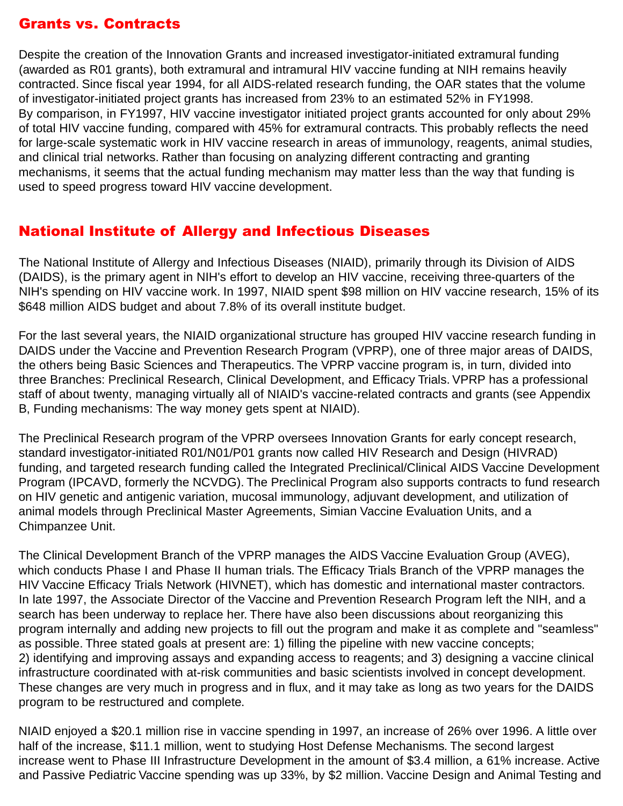#### <span id="page-16-0"></span>Grants vs. Contracts

Despite the creation of the Innovation Grants and increased investigator-initiated extramural funding (awarded as R01 grants), both extramural and intramural HIV vaccine funding at NIH remains heavily contracted. Since fiscal year 1994, for all AIDS-related research funding, the OAR states that the volume of investigator-initiated project grants has increased from 23% to an estimated 52% in FY1998. By comparison, in FY1997, HIV vaccine investigator initiated project grants accounted for only about 29% of total HIV vaccine funding, compared with 45% for extramural contracts. This probably reflects the need for large-scale systematic work in HIV vaccine research in areas of immunology, reagents, animal studies, and clinical trial networks. Rather than focusing on analyzing different contracting and granting mechanisms, it seems that the actual funding mechanism may matter less than the way that funding is used to speed progress toward HIV vaccine development.

## National Institute of Allergy and Infectious Diseases

The National Institute of Allergy and Infectious Diseases (NIAID), primarily through its Division of AIDS (DAIDS), is the primary agent in NIH's effort to develop an HIV vaccine, receiving three-quarters of the NIH's spending on HIV vaccine work. In 1997, NIAID spent \$98 million on HIV vaccine research, 15% of its \$648 million AIDS budget and about 7.8% of its overall institute budget.

For the last several years, the NIAID organizational structure has grouped HIV vaccine research funding in DAIDS under the Vaccine and Prevention Research Program (VPRP), one of three major areas of DAIDS, the others being Basic Sciences and Therapeutics. The VPRP vaccine program is, in turn, divided into three Branches: Preclinical Research, Clinical Development, and Efficacy Trials. VPRP has a professional staff of about twenty, managing virtually all of NIAID's vaccine-related contracts and grants (see Appendix B, Funding mechanisms: The way money gets spent at NIAID).

The Preclinical Research program of the VPRP oversees Innovation Grants for early concept research, standard investigator-initiated R01/N01/P01 grants now called HIV Research and Design (HIVRAD) funding, and targeted research funding called the Integrated Preclinical/Clinical AIDS Vaccine Development Program (IPCAVD, formerly the NCVDG). The Preclinical Program also supports contracts to fund research on HIV genetic and antigenic variation, mucosal immunology, adjuvant development, and utilization of animal models through Preclinical Master Agreements, Simian Vaccine Evaluation Units, and a Chimpanzee Unit.

The Clinical Development Branch of the VPRP manages the AIDS Vaccine Evaluation Group (AVEG), which conducts Phase I and Phase II human trials. The Efficacy Trials Branch of the VPRP manages the HIV Vaccine Efficacy Trials Network (HIVNET), which has domestic and international master contractors. In late 1997, the Associate Director of the Vaccine and Prevention Research Program left the NIH, and a search has been underway to replace her. There have also been discussions about reorganizing this program internally and adding new projects to fill out the program and make it as complete and "seamless" as possible. Three stated goals at present are: 1) filling the pipeline with new vaccine concepts; 2) identifying and improving assays and expanding access to reagents; and 3) designing a vaccine clinical infrastructure coordinated with at-risk communities and basic scientists involved in concept development. These changes are very much in progress and in flux, and it may take as long as two years for the DAIDS program to be restructured and complete.

NIAID enjoyed a \$20.1 million rise in vaccine spending in 1997, an increase of 26% over 1996. A little over half of the increase, \$11.1 million, went to studying Host Defense Mechanisms. The second largest increase went to Phase III Infrastructure Development in the amount of \$3.4 million, a 61% increase. Active and Passive Pediatric Vaccine spending was up 33%, by \$2 million. Vaccine Design and Animal Testing and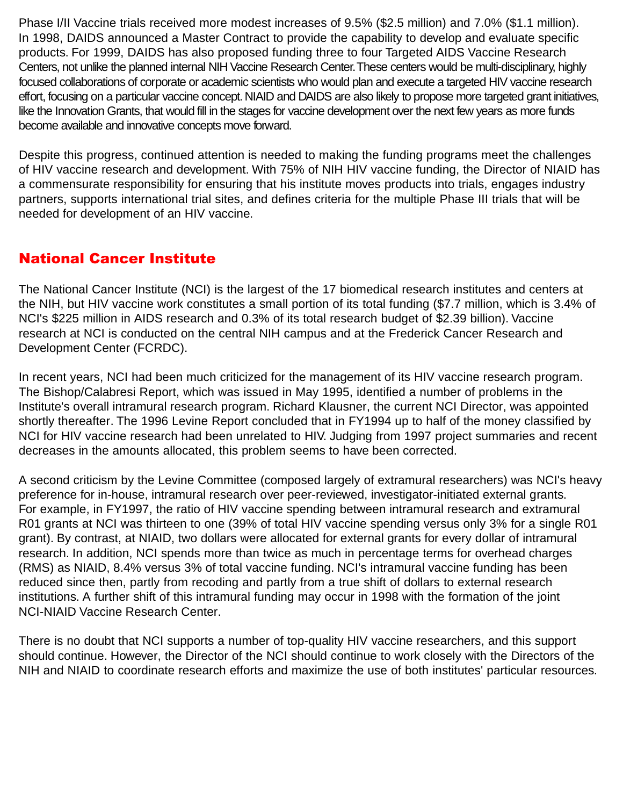<span id="page-17-0"></span>Phase I/II Vaccine trials received more modest increases of 9.5% (\$2.5 million) and 7.0% (\$1.1 million). In 1998, DAIDS announced a Master Contract to provide the capability to develop and evaluate specific products. For 1999, DAIDS has also proposed funding three to four Targeted AIDS Vaccine Research Centers, not unlike the planned internal NIH Vaccine Research Center. These centers would be multi-disciplinary, highly focused collaborations of corporate or academic scientists who would plan and execute a targeted HIV vaccine research effort, focusing on a particular vaccine concept. NIAID and DAIDS are also likely to propose more targeted grant initiatives, like the Innovation Grants, that would fill in the stages for vaccine development over the next few years as more funds become available and innovative concepts move forward.

Despite this progress, continued attention is needed to making the funding programs meet the challenges of HIV vaccine research and development. With 75% of NIH HIV vaccine funding, the Director of NIAID has a commensurate responsibility for ensuring that his institute moves products into trials, engages industry partners, supports international trial sites, and defines criteria for the multiple Phase III trials that will be needed for development of an HIV vaccine.

## National Cancer Institute

The National Cancer Institute (NCI) is the largest of the 17 biomedical research institutes and centers at the NIH, but HIV vaccine work constitutes a small portion of its total funding (\$7.7 million, which is 3.4% of NCI's \$225 million in AIDS research and 0.3% of its total research budget of \$2.39 billion). Vaccine research at NCI is conducted on the central NIH campus and at the Frederick Cancer Research and Development Center (FCRDC).

In recent years, NCI had been much criticized for the management of its HIV vaccine research program. The Bishop/Calabresi Report, which was issued in May 1995, identified a number of problems in the Institute's overall intramural research program. Richard Klausner, the current NCI Director, was appointed shortly thereafter. The 1996 Levine Report concluded that in FY1994 up to half of the money classified by NCI for HIV vaccine research had been unrelated to HIV. Judging from 1997 project summaries and recent decreases in the amounts allocated, this problem seems to have been corrected.

A second criticism by the Levine Committee (composed largely of extramural researchers) was NCI's heavy preference for in-house, intramural research over peer-reviewed, investigator-initiated external grants. For example, in FY1997, the ratio of HIV vaccine spending between intramural research and extramural R01 grants at NCI was thirteen to one (39% of total HIV vaccine spending versus only 3% for a single R01 grant). By contrast, at NIAID, two dollars were allocated for external grants for every dollar of intramural research. In addition, NCI spends more than twice as much in percentage terms for overhead charges (RMS) as NIAID, 8.4% versus 3% of total vaccine funding. NCI's intramural vaccine funding has been reduced since then, partly from recoding and partly from a true shift of dollars to external research institutions. A further shift of this intramural funding may occur in 1998 with the formation of the joint NCI-NIAID Vaccine Research Center.

There is no doubt that NCI supports a number of top-quality HIV vaccine researchers, and this support should continue. However, the Director of the NCI should continue to work closely with the Directors of the NIH and NIAID to coordinate research efforts and maximize the use of both institutes' particular resources.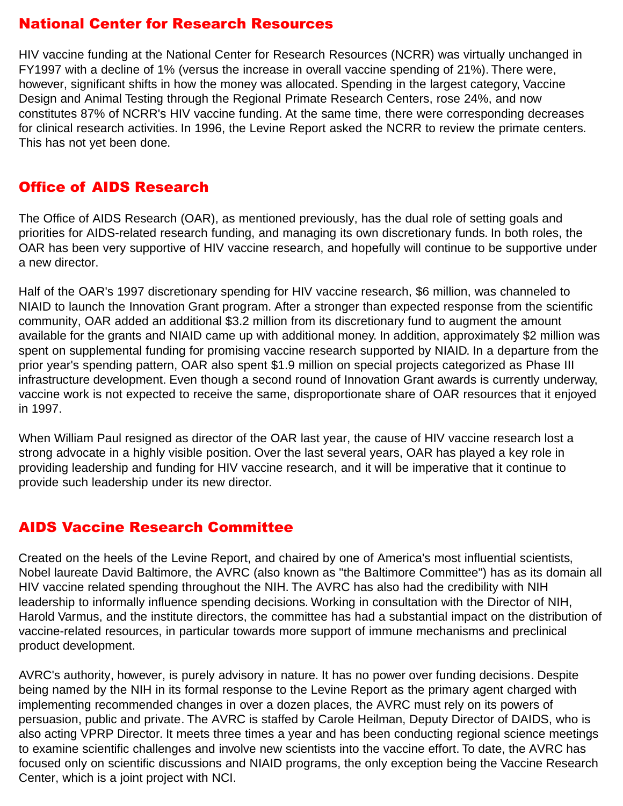## <span id="page-18-0"></span>National Center for Research Resources

HIV vaccine funding at the National Center for Research Resources (NCRR) was virtually unchanged in FY1997 with a decline of 1% (versus the increase in overall vaccine spending of 21%). There were, however, significant shifts in how the money was allocated. Spending in the largest category, Vaccine Design and Animal Testing through the Regional Primate Research Centers, rose 24%, and now constitutes 87% of NCRR's HIV vaccine funding. At the same time, there were corresponding decreases for clinical research activities. In 1996, the Levine Report asked the NCRR to review the primate centers. This has not yet been done.

#### Office of AIDS Research

The Office of AIDS Research (OAR), as mentioned previously, has the dual role of setting goals and priorities for AIDS-related research funding, and managing its own discretionary funds. In both roles, the OAR has been very supportive of HIV vaccine research, and hopefully will continue to be supportive under a new director.

Half of the OAR's 1997 discretionary spending for HIV vaccine research, \$6 million, was channeled to NIAID to launch the Innovation Grant program. After a stronger than expected response from the scientific community, OAR added an additional \$3.2 million from its discretionary fund to augment the amount available for the grants and NIAID came up with additional money. In addition, approximately \$2 million was spent on supplemental funding for promising vaccine research supported by NIAID. In a departure from the prior year's spending pattern, OAR also spent \$1.9 million on special projects categorized as Phase III infrastructure development. Even though a second round of Innovation Grant awards is currently underway, vaccine work is not expected to receive the same, disproportionate share of OAR resources that it enjoyed in 1997.

When William Paul resigned as director of the OAR last year, the cause of HIV vaccine research lost a strong advocate in a highly visible position. Over the last several years, OAR has played a key role in providing leadership and funding for HIV vaccine research, and it will be imperative that it continue to provide such leadership under its new director.

#### AIDS Vaccine Research Committee

Created on the heels of the Levine Report, and chaired by one of America's most influential scientists, Nobel laureate David Baltimore, the AVRC (also known as "the Baltimore Committee") has as its domain all HIV vaccine related spending throughout the NIH. The AVRC has also had the credibility with NIH leadership to informally influence spending decisions. Working in consultation with the Director of NIH, Harold Varmus, and the institute directors, the committee has had a substantial impact on the distribution of vaccine-related resources, in particular towards more support of immune mechanisms and preclinical product development.

AVRC's authority, however, is purely advisory in nature. It has no power over funding decisions. Despite being named by the NIH in its formal response to the Levine Report as the primary agent charged with implementing recommended changes in over a dozen places, the AVRC must rely on its powers of persuasion, public and private. The AVRC is staffed by Carole Heilman, Deputy Director of DAIDS, who is also acting VPRP Director. It meets three times a year and has been conducting regional science meetings to examine scientific challenges and involve new scientists into the vaccine effort. To date, the AVRC has focused only on scientific discussions and NIAID programs, the only exception being the Vaccine Research Center, which is a joint project with NCI.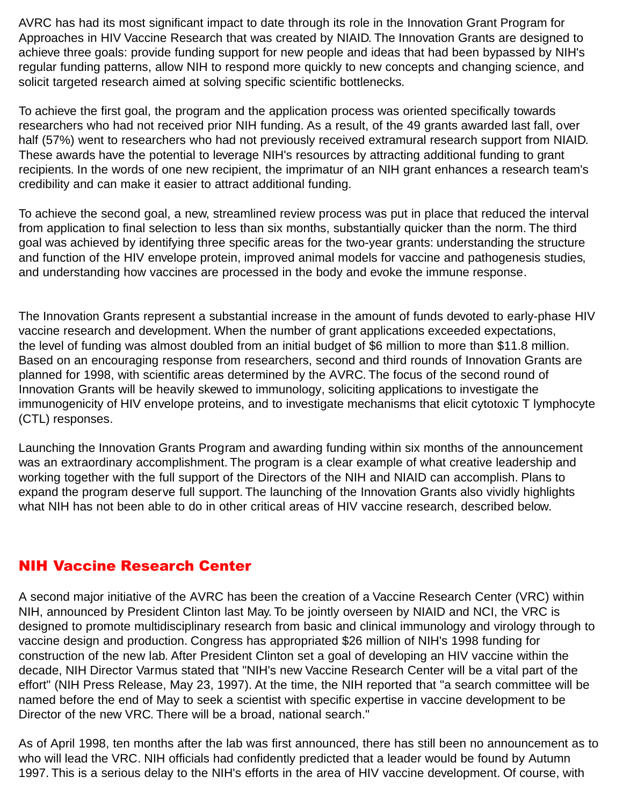<span id="page-19-0"></span>AVRC has had its most significant impact to date through its role in the Innovation Grant Program for Approaches in HIV Vaccine Research that was created by NIAID. The Innovation Grants are designed to achieve three goals: provide funding support for new people and ideas that had been bypassed by NIH's regular funding patterns, allow NIH to respond more quickly to new concepts and changing science, and solicit targeted research aimed at solving specific scientific bottlenecks.

To achieve the first goal, the program and the application process was oriented specifically towards researchers who had not received prior NIH funding. As a result, of the 49 grants awarded last fall, over half (57%) went to researchers who had not previously received extramural research support from NIAID. These awards have the potential to leverage NIH's resources by attracting additional funding to grant recipients. In the words of one new recipient, the imprimatur of an NIH grant enhances a research team's credibility and can make it easier to attract additional funding.

To achieve the second goal, a new, streamlined review process was put in place that reduced the interval from application to final selection to less than six months, substantially quicker than the norm. The third goal was achieved by identifying three specific areas for the two-year grants: understanding the structure and function of the HIV envelope protein, improved animal models for vaccine and pathogenesis studies, and understanding how vaccines are processed in the body and evoke the immune response.

The Innovation Grants represent a substantial increase in the amount of funds devoted to early-phase HIV vaccine research and development. When the number of grant applications exceeded expectations, the level of funding was almost doubled from an initial budget of \$6 million to more than \$11.8 million. Based on an encouraging response from researchers, second and third rounds of Innovation Grants are planned for 1998, with scientific areas determined by the AVRC. The focus of the second round of Innovation Grants will be heavily skewed to immunology, soliciting applications to investigate the immunogenicity of HIV envelope proteins, and to investigate mechanisms that elicit cytotoxic T lymphocyte (CTL) responses.

Launching the Innovation Grants Program and awarding funding within six months of the announcement was an extraordinary accomplishment. The program is a clear example of what creative leadership and working together with the full support of the Directors of the NIH and NIAID can accomplish. Plans to expand the program deserve full support. The launching of the Innovation Grants also vividly highlights what NIH has not been able to do in other critical areas of HIV vaccine research, described below.

#### NIH Vaccine Research Center

A second major initiative of the AVRC has been the creation of a Vaccine Research Center (VRC) within NIH, announced by President Clinton last May. To be jointly overseen by NIAID and NCI, the VRC is designed to promote multidisciplinary research from basic and clinical immunology and virology through to vaccine design and production. Congress has appropriated \$26 million of NIH's 1998 funding for construction of the new lab. After President Clinton set a goal of developing an HIV vaccine within the decade, NIH Director Varmus stated that "NIH's new Vaccine Research Center will be a vital part of the effort" (NIH Press Release, May 23, 1997). At the time, the NIH reported that "a search committee will be named before the end of May to seek a scientist with specific expertise in vaccine development to be Director of the new VRC. There will be a broad, national search."

As of April 1998, ten months after the lab was first announced, there has still been no announcement as to who will lead the VRC. NIH officials had confidently predicted that a leader would be found by Autumn 1997. This is a serious delay to the NIH's efforts in the area of HIV vaccine development. Of course, with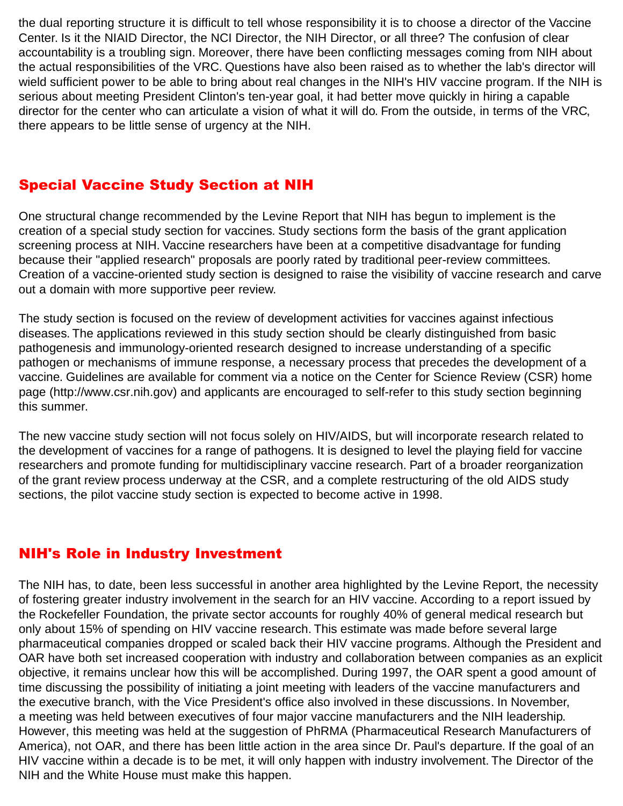<span id="page-20-0"></span>the dual reporting structure it is difficult to tell whose responsibility it is to choose a director of the Vaccine Center. Is it the NIAID Director, the NCI Director, the NIH Director, or all three? The confusion of clear accountability is a troubling sign. Moreover, there have been conflicting messages coming from NIH about the actual responsibilities of the VRC. Questions have also been raised as to whether the lab's director will wield sufficient power to be able to bring about real changes in the NIH's HIV vaccine program. If the NIH is serious about meeting President Clinton's ten-year goal, it had better move quickly in hiring a capable director for the center who can articulate a vision of what it will do. From the outside, in terms of the VRC, there appears to be little sense of urgency at the NIH.

### Special Vaccine Study Section at NIH

One structural change recommended by the Levine Report that NIH has begun to implement is the creation of a special study section for vaccines. Study sections form the basis of the grant application screening process at NIH. Vaccine researchers have been at a competitive disadvantage for funding because their "applied research" proposals are poorly rated by traditional peer-review committees. Creation of a vaccine-oriented study section is designed to raise the visibility of vaccine research and carve out a domain with more supportive peer review.

The study section is focused on the review of development activities for vaccines against infectious diseases. The applications reviewed in this study section should be clearly distinguished from basic pathogenesis and immunology-oriented research designed to increase understanding of a specific pathogen or mechanisms of immune response, a necessary process that precedes the development of a vaccine. Guidelines are available for comment via a notice on the Center for Science Review (CSR) home page (http://www.csr.nih.gov) and applicants are encouraged to self-refer to this study section beginning this summer.

The new vaccine study section will not focus solely on HIV/AIDS, but will incorporate research related to the development of vaccines for a range of pathogens. It is designed to level the playing field for vaccine researchers and promote funding for multidisciplinary vaccine research. Part of a broader reorganization of the grant review process underway at the CSR, and a complete restructuring of the old AIDS study sections, the pilot vaccine study section is expected to become active in 1998.

#### NIH's Role in Industry Investment

The NIH has, to date, been less successful in another area highlighted by the Levine Report, the necessity of fostering greater industry involvement in the search for an HIV vaccine. According to a report issued by the Rockefeller Foundation, the private sector accounts for roughly 40% of general medical research but only about 15% of spending on HIV vaccine research. This estimate was made before several large pharmaceutical companies dropped or scaled back their HIV vaccine programs. Although the President and OAR have both set increased cooperation with industry and collaboration between companies as an explicit objective, it remains unclear how this will be accomplished. During 1997, the OAR spent a good amount of time discussing the possibility of initiating a joint meeting with leaders of the vaccine manufacturers and the executive branch, with the Vice President's office also involved in these discussions. In November, a meeting was held between executives of four major vaccine manufacturers and the NIH leadership. However, this meeting was held at the suggestion of PhRMA (Pharmaceutical Research Manufacturers of America), not OAR, and there has been little action in the area since Dr. Paul's departure. If the goal of an HIV vaccine within a decade is to be met, it will only happen with industry involvement. The Director of the NIH and the White House must make this happen.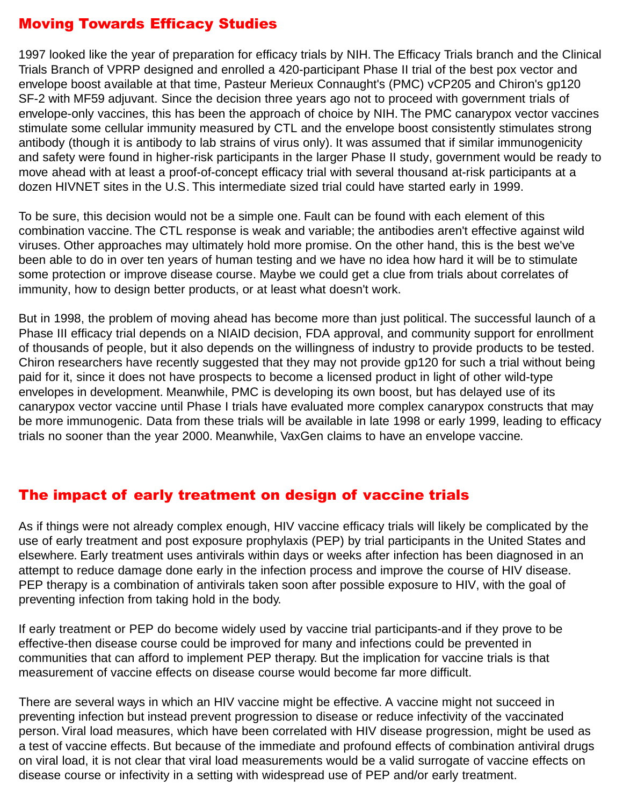## <span id="page-21-0"></span>Moving Towards Efficacy Studies

1997 looked like the year of preparation for efficacy trials by NIH. The Efficacy Trials branch and the Clinical Trials Branch of VPRP designed and enrolled a 420-participant Phase II trial of the best pox vector and envelope boost available at that time, Pasteur Merieux Connaught's (PMC) vCP205 and Chiron's gp120 SF-2 with MF59 adjuvant. Since the decision three years ago not to proceed with government trials of envelope-only vaccines, this has been the approach of choice by NIH. The PMC canarypox vector vaccines stimulate some cellular immunity measured by CTL and the envelope boost consistently stimulates strong antibody (though it is antibody to lab strains of virus only). It was assumed that if similar immunogenicity and safety were found in higher-risk participants in the larger Phase II study, government would be ready to move ahead with at least a proof-of-concept efficacy trial with several thousand at-risk participants at a dozen HIVNET sites in the U.S. This intermediate sized trial could have started early in 1999.

To be sure, this decision would not be a simple one. Fault can be found with each element of this combination vaccine. The CTL response is weak and variable; the antibodies aren't effective against wild viruses. Other approaches may ultimately hold more promise. On the other hand, this is the best we've been able to do in over ten years of human testing and we have no idea how hard it will be to stimulate some protection or improve disease course. Maybe we could get a clue from trials about correlates of immunity, how to design better products, or at least what doesn't work.

But in 1998, the problem of moving ahead has become more than just political. The successful launch of a Phase III efficacy trial depends on a NIAID decision, FDA approval, and community support for enrollment of thousands of people, but it also depends on the willingness of industry to provide products to be tested. Chiron researchers have recently suggested that they may not provide gp120 for such a trial without being paid for it, since it does not have prospects to become a licensed product in light of other wild-type envelopes in development. Meanwhile, PMC is developing its own boost, but has delayed use of its canarypox vector vaccine until Phase I trials have evaluated more complex canarypox constructs that may be more immunogenic. Data from these trials will be available in late 1998 or early 1999, leading to efficacy trials no sooner than the year 2000. Meanwhile, VaxGen claims to have an envelope vaccine.

#### The impact of early treatment on design of vaccine trials

As if things were not already complex enough, HIV vaccine efficacy trials will likely be complicated by the use of early treatment and post exposure prophylaxis (PEP) by trial participants in the United States and elsewhere. Early treatment uses antivirals within days or weeks after infection has been diagnosed in an attempt to reduce damage done early in the infection process and improve the course of HIV disease. PEP therapy is a combination of antivirals taken soon after possible exposure to HIV, with the goal of preventing infection from taking hold in the body.

If early treatment or PEP do become widely used by vaccine trial participants-and if they prove to be effective-then disease course could be improved for many and infections could be prevented in communities that can afford to implement PEP therapy. But the implication for vaccine trials is that measurement of vaccine effects on disease course would become far more difficult.

There are several ways in which an HIV vaccine might be effective. A vaccine might not succeed in preventing infection but instead prevent progression to disease or reduce infectivity of the vaccinated person. Viral load measures, which have been correlated with HIV disease progression, might be used as a test of vaccine effects. But because of the immediate and profound effects of combination antiviral drugs on viral load, it is not clear that viral load measurements would be a valid surrogate of vaccine effects on disease course or infectivity in a setting with widespread use of PEP and/or early treatment.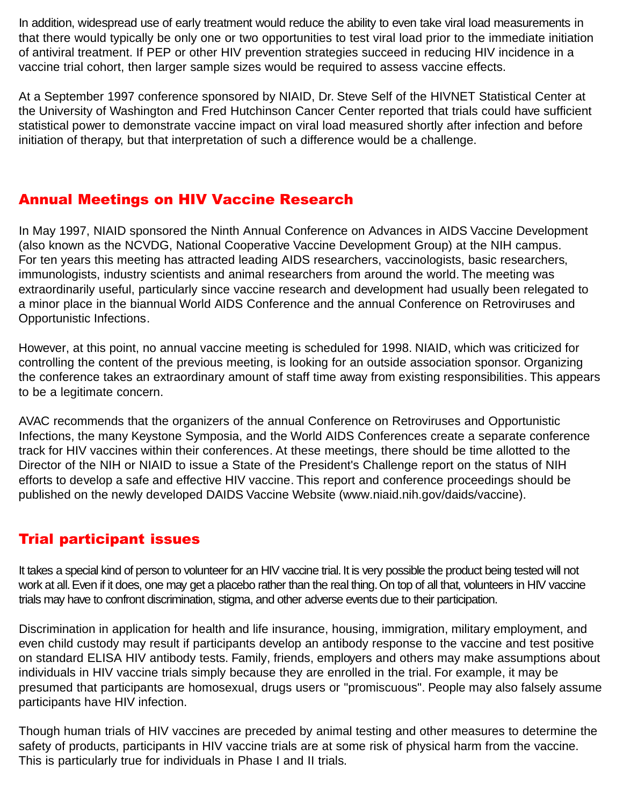<span id="page-22-0"></span>In addition, widespread use of early treatment would reduce the ability to even take viral load measurements in that there would typically be only one or two opportunities to test viral load prior to the immediate initiation of antiviral treatment. If PEP or other HIV prevention strategies succeed in reducing HIV incidence in a vaccine trial cohort, then larger sample sizes would be required to assess vaccine effects.

At a September 1997 conference sponsored by NIAID, Dr. Steve Self of the HIVNET Statistical Center at the University of Washington and Fred Hutchinson Cancer Center reported that trials could have sufficient statistical power to demonstrate vaccine impact on viral load measured shortly after infection and before initiation of therapy, but that interpretation of such a difference would be a challenge.

### Annual Meetings on HIV Vaccine Research

In May 1997, NIAID sponsored the Ninth Annual Conference on Advances in AIDS Vaccine Development (also known as the NCVDG, National Cooperative Vaccine Development Group) at the NIH campus. For ten years this meeting has attracted leading AIDS researchers, vaccinologists, basic researchers, immunologists, industry scientists and animal researchers from around the world. The meeting was extraordinarily useful, particularly since vaccine research and development had usually been relegated to a minor place in the biannual World AIDS Conference and the annual Conference on Retroviruses and Opportunistic Infections.

However, at this point, no annual vaccine meeting is scheduled for 1998. NIAID, which was criticized for controlling the content of the previous meeting, is looking for an outside association sponsor. Organizing the conference takes an extraordinary amount of staff time away from existing responsibilities. This appears to be a legitimate concern.

AVAC recommends that the organizers of the annual Conference on Retroviruses and Opportunistic Infections, the many Keystone Symposia, and the World AIDS Conferences create a separate conference track for HIV vaccines within their conferences. At these meetings, there should be time allotted to the Director of the NIH or NIAID to issue a State of the President's Challenge report on the status of NIH efforts to develop a safe and effective HIV vaccine. This report and conference proceedings should be published on the newly developed DAIDS Vaccine Website (www.niaid.nih.gov/daids/vaccine).

## Trial participant issues

It takes a special kind of person to volunteer for an HIV vaccine trial. It is very possible the product being tested will not work at all. Even if it does, one may get a placebo rather than the real thing. On top of all that, volunteers in HIV vaccine trials may have to confront discrimination, stigma, and other adverse events due to their participation.

Discrimination in application for health and life insurance, housing, immigration, military employment, and even child custody may result if participants develop an antibody response to the vaccine and test positive on standard ELISA HIV antibody tests. Family, friends, employers and others may make assumptions about individuals in HIV vaccine trials simply because they are enrolled in the trial. For example, it may be presumed that participants are homosexual, drugs users or "promiscuous". People may also falsely assume participants have HIV infection.

Though human trials of HIV vaccines are preceded by animal testing and other measures to determine the safety of products, participants in HIV vaccine trials are at some risk of physical harm from the vaccine. This is particularly true for individuals in Phase I and II trials.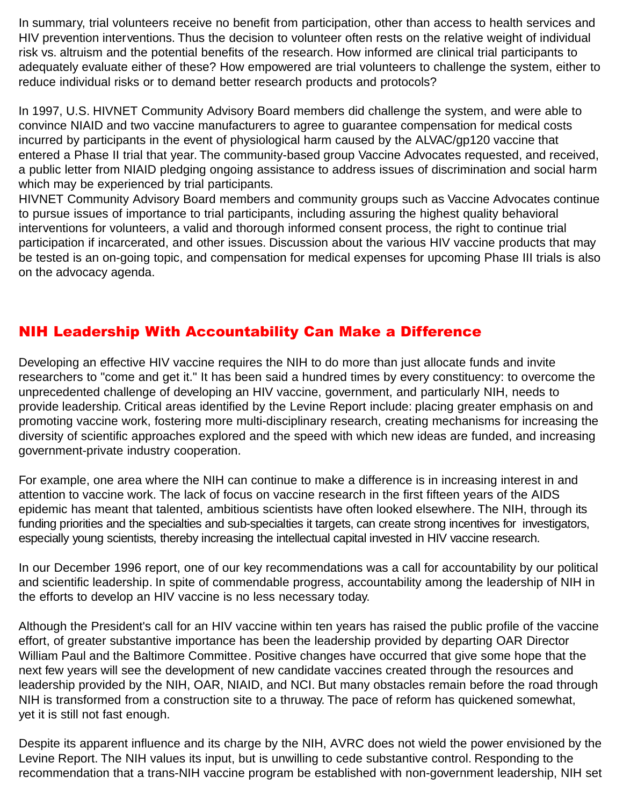<span id="page-23-0"></span>In summary, trial volunteers receive no benefit from participation, other than access to health services and HIV prevention interventions. Thus the decision to volunteer often rests on the relative weight of individual risk vs. altruism and the potential benefits of the research. How informed are clinical trial participants to adequately evaluate either of these? How empowered are trial volunteers to challenge the system, either to reduce individual risks or to demand better research products and protocols?

In 1997, U.S. HIVNET Community Advisory Board members did challenge the system, and were able to convince NIAID and two vaccine manufacturers to agree to guarantee compensation for medical costs incurred by participants in the event of physiological harm caused by the ALVAC/gp120 vaccine that entered a Phase II trial that year. The community-based group Vaccine Advocates requested, and received, a public letter from NIAID pledging ongoing assistance to address issues of discrimination and social harm which may be experienced by trial participants.

HIVNET Community Advisory Board members and community groups such as Vaccine Advocates continue to pursue issues of importance to trial participants, including assuring the highest quality behavioral interventions for volunteers, a valid and thorough informed consent process, the right to continue trial participation if incarcerated, and other issues. Discussion about the various HIV vaccine products that may be tested is an on-going topic, and compensation for medical expenses for upcoming Phase III trials is also on the advocacy agenda.

## NIH Leadership With Accountability Can Make a Difference

Developing an effective HIV vaccine requires the NIH to do more than just allocate funds and invite researchers to "come and get it." It has been said a hundred times by every constituency: to overcome the unprecedented challenge of developing an HIV vaccine, government, and particularly NIH, needs to provide leadership. Critical areas identified by the Levine Report include: placing greater emphasis on and promoting vaccine work, fostering more multi-disciplinary research, creating mechanisms for increasing the diversity of scientific approaches explored and the speed with which new ideas are funded, and increasing government-private industry cooperation.

For example, one area where the NIH can continue to make a difference is in increasing interest in and attention to vaccine work. The lack of focus on vaccine research in the first fifteen years of the AIDS epidemic has meant that talented, ambitious scientists have often looked elsewhere. The NIH, through its funding priorities and the specialties and sub-specialties it targets, can create strong incentives for investigators, especially young scientists, thereby increasing the intellectual capital invested in HIV vaccine research.

In our December 1996 report, one of our key recommendations was a call for accountability by our political and scientific leadership. In spite of commendable progress, accountability among the leadership of NIH in the efforts to develop an HIV vaccine is no less necessary today.

Although the President's call for an HIV vaccine within ten years has raised the public profile of the vaccine effort, of greater substantive importance has been the leadership provided by departing OAR Director William Paul and the Baltimore Committee. Positive changes have occurred that give some hope that the next few years will see the development of new candidate vaccines created through the resources and leadership provided by the NIH, OAR, NIAID, and NCI. But many obstacles remain before the road through NIH is transformed from a construction site to a thruway. The pace of reform has quickened somewhat, yet it is still not fast enough.

Despite its apparent influence and its charge by the NIH, AVRC does not wield the power envisioned by the Levine Report. The NIH values its input, but is unwilling to cede substantive control. Responding to the recommendation that a trans-NIH vaccine program be established with non-government leadership, NIH set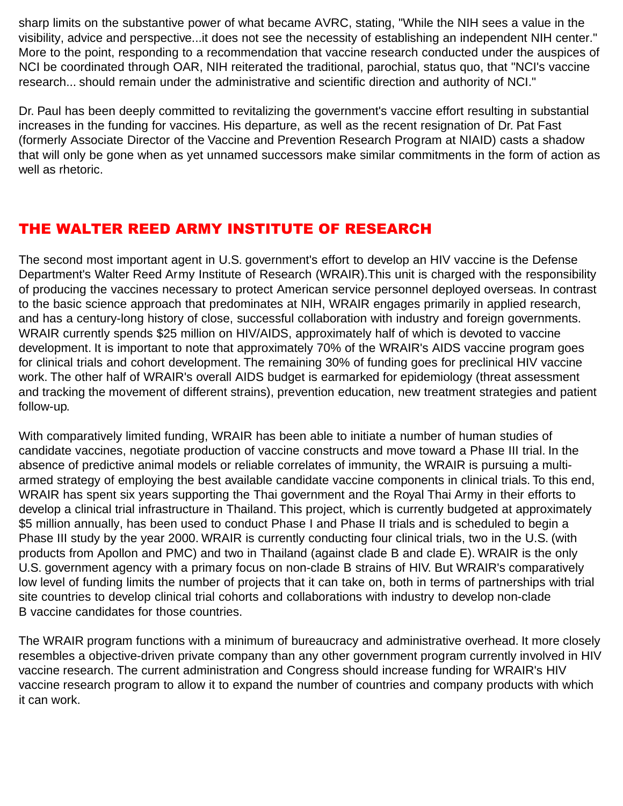<span id="page-24-0"></span>sharp limits on the substantive power of what became AVRC, stating, "While the NIH sees a value in the visibility, advice and perspective...it does not see the necessity of establishing an independent NIH center." More to the point, responding to a recommendation that vaccine research conducted under the auspices of NCI be coordinated through OAR, NIH reiterated the traditional, parochial, status quo, that "NCI's vaccine research... should remain under the administrative and scientific direction and authority of NCI."

Dr. Paul has been deeply committed to revitalizing the government's vaccine effort resulting in substantial increases in the funding for vaccines. His departure, as well as the recent resignation of Dr. Pat Fast (formerly Associate Director of the Vaccine and Prevention Research Program at NIAID) casts a shadow that will only be gone when as yet unnamed successors make similar commitments in the form of action as well as rhetoric.

## THE WALTER REED ARMY INSTITUTE OF RESEARCH

The second most important agent in U.S. government's effort to develop an HIV vaccine is the Defense Department's Walter Reed Army Institute of Research (WRAIR).This unit is charged with the responsibility of producing the vaccines necessary to protect American service personnel deployed overseas. In contrast to the basic science approach that predominates at NIH, WRAIR engages primarily in applied research, and has a century-long history of close, successful collaboration with industry and foreign governments. WRAIR currently spends \$25 million on HIV/AIDS, approximately half of which is devoted to vaccine development. It is important to note that approximately 70% of the WRAIR's AIDS vaccine program goes for clinical trials and cohort development. The remaining 30% of funding goes for preclinical HIV vaccine work. The other half of WRAIR's overall AIDS budget is earmarked for epidemiology (threat assessment and tracking the movement of different strains), prevention education, new treatment strategies and patient follow-up.

With comparatively limited funding, WRAIR has been able to initiate a number of human studies of candidate vaccines, negotiate production of vaccine constructs and move toward a Phase III trial. In the absence of predictive animal models or reliable correlates of immunity, the WRAIR is pursuing a multiarmed strategy of employing the best available candidate vaccine components in clinical trials. To this end, WRAIR has spent six years supporting the Thai government and the Royal Thai Army in their efforts to develop a clinical trial infrastructure in Thailand. This project, which is currently budgeted at approximately \$5 million annually, has been used to conduct Phase I and Phase II trials and is scheduled to begin a Phase III study by the year 2000. WRAIR is currently conducting four clinical trials, two in the U.S. (with products from Apollon and PMC) and two in Thailand (against clade B and clade E). WRAIR is the only U.S. government agency with a primary focus on non-clade B strains of HIV. But WRAIR's comparatively low level of funding limits the number of projects that it can take on, both in terms of partnerships with trial site countries to develop clinical trial cohorts and collaborations with industry to develop non-clade B vaccine candidates for those countries.

The WRAIR program functions with a minimum of bureaucracy and administrative overhead. It more closely resembles a objective-driven private company than any other government program currently involved in HIV vaccine research. The current administration and Congress should increase funding for WRAIR's HIV vaccine research program to allow it to expand the number of countries and company products with which it can work.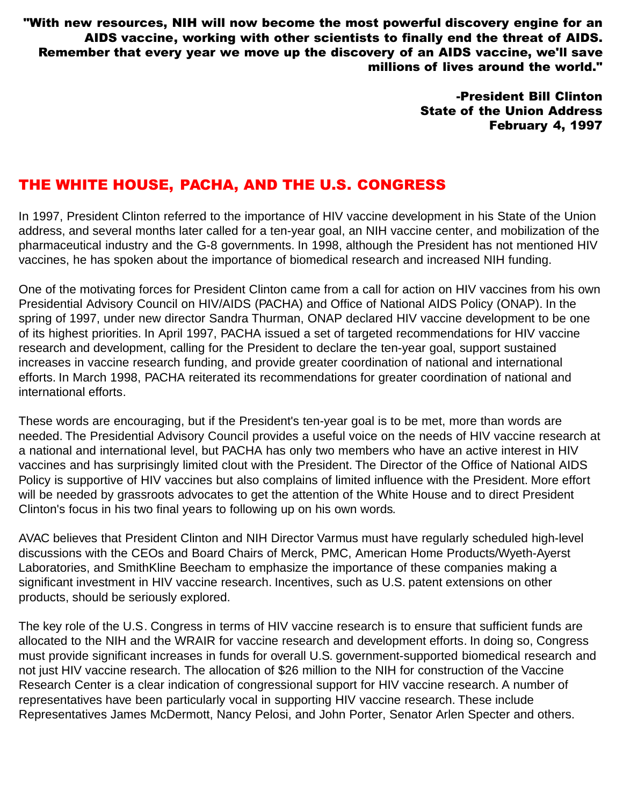<span id="page-25-0"></span>"With new resources, NIH will now become the most powerful discovery engine for an AIDS vaccine, working with other scientists to finally end the threat of AIDS. Remember that every year we move up the discovery of an AIDS vaccine, we'll save millions of lives around the world."

> -President Bill Clinton State of the Union Address February 4, 1997

### THE WHITE HOUSE, PACHA, AND THE U.S. CONGRESS

In 1997, President Clinton referred to the importance of HIV vaccine development in his State of the Union address, and several months later called for a ten-year goal, an NIH vaccine center, and mobilization of the pharmaceutical industry and the G-8 governments. In 1998, although the President has not mentioned HIV vaccines, he has spoken about the importance of biomedical research and increased NIH funding.

One of the motivating forces for President Clinton came from a call for action on HIV vaccines from his own Presidential Advisory Council on HIV/AIDS (PACHA) and Office of National AIDS Policy (ONAP). In the spring of 1997, under new director Sandra Thurman, ONAP declared HIV vaccine development to be one of its highest priorities. In April 1997, PACHA issued a set of targeted recommendations for HIV vaccine research and development, calling for the President to declare the ten-year goal, support sustained increases in vaccine research funding, and provide greater coordination of national and international efforts. In March 1998, PACHA reiterated its recommendations for greater coordination of national and international efforts.

These words are encouraging, but if the President's ten-year goal is to be met, more than words are needed. The Presidential Advisory Council provides a useful voice on the needs of HIV vaccine research at a national and international level, but PACHA has only two members who have an active interest in HIV vaccines and has surprisingly limited clout with the President. The Director of the Office of National AIDS Policy is supportive of HIV vaccines but also complains of limited influence with the President. More effort will be needed by grassroots advocates to get the attention of the White House and to direct President Clinton's focus in his two final years to following up on his own words.

AVAC believes that President Clinton and NIH Director Varmus must have regularly scheduled high-level discussions with the CEOs and Board Chairs of Merck, PMC, American Home Products/Wyeth-Ayerst Laboratories, and SmithKline Beecham to emphasize the importance of these companies making a significant investment in HIV vaccine research. Incentives, such as U.S. patent extensions on other products, should be seriously explored.

The key role of the U.S. Congress in terms of HIV vaccine research is to ensure that sufficient funds are allocated to the NIH and the WRAIR for vaccine research and development efforts. In doing so, Congress must provide significant increases in funds for overall U.S. government-supported biomedical research and not just HIV vaccine research. The allocation of \$26 million to the NIH for construction of the Vaccine Research Center is a clear indication of congressional support for HIV vaccine research. A number of representatives have been particularly vocal in supporting HIV vaccine research. These include Representatives James McDermott, Nancy Pelosi, and John Porter, Senator Arlen Specter and others.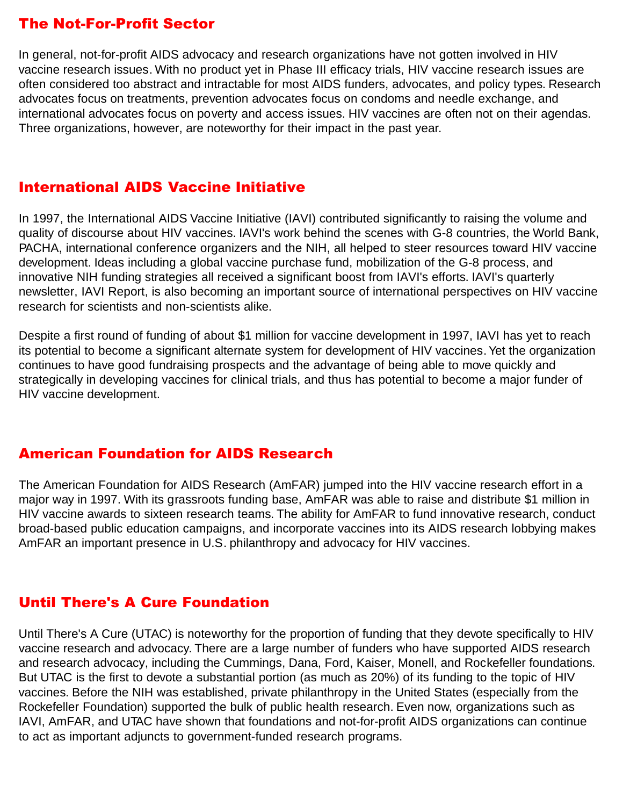## <span id="page-26-0"></span>The Not-For-Profit Sector

In general, not-for-profit AIDS advocacy and research organizations have not gotten involved in HIV vaccine research issues. With no product yet in Phase III efficacy trials, HIV vaccine research issues are often considered too abstract and intractable for most AIDS funders, advocates, and policy types. Research advocates focus on treatments, prevention advocates focus on condoms and needle exchange, and international advocates focus on poverty and access issues. HIV vaccines are often not on their agendas. Three organizations, however, are noteworthy for their impact in the past year.

#### International AIDS Vaccine Initiative

In 1997, the International AIDS Vaccine Initiative (IAVI) contributed significantly to raising the volume and quality of discourse about HIV vaccines. IAVI's work behind the scenes with G-8 countries, the World Bank, PACHA, international conference organizers and the NIH, all helped to steer resources toward HIV vaccine development. Ideas including a global vaccine purchase fund, mobilization of the G-8 process, and innovative NIH funding strategies all received a significant boost from IAVI's efforts. IAVI's quarterly newsletter, IAVI Report, is also becoming an important source of international perspectives on HIV vaccine research for scientists and non-scientists alike.

Despite a first round of funding of about \$1 million for vaccine development in 1997, IAVI has yet to reach its potential to become a significant alternate system for development of HIV vaccines. Yet the organization continues to have good fundraising prospects and the advantage of being able to move quickly and strategically in developing vaccines for clinical trials, and thus has potential to become a major funder of HIV vaccine development.

#### American Foundation for AIDS Research

The American Foundation for AIDS Research (AmFAR) jumped into the HIV vaccine research effort in a major way in 1997. With its grassroots funding base, AmFAR was able to raise and distribute \$1 million in HIV vaccine awards to sixteen research teams. The ability for AmFAR to fund innovative research, conduct broad-based public education campaigns, and incorporate vaccines into its AIDS research lobbying makes AmFAR an important presence in U.S. philanthropy and advocacy for HIV vaccines.

#### Until There's A Cure Foundation

Until There's A Cure (UTAC) is noteworthy for the proportion of funding that they devote specifically to HIV vaccine research and advocacy. There are a large number of funders who have supported AIDS research and research advocacy, including the Cummings, Dana, Ford, Kaiser, Monell, and Rockefeller foundations. But UTAC is the first to devote a substantial portion (as much as 20%) of its funding to the topic of HIV vaccines. Before the NIH was established, private philanthropy in the United States (especially from the Rockefeller Foundation) supported the bulk of public health research. Even now, organizations such as IAVI, AmFAR, and UTAC have shown that foundations and not-for-profit AIDS organizations can continue to act as important adjuncts to government-funded research programs.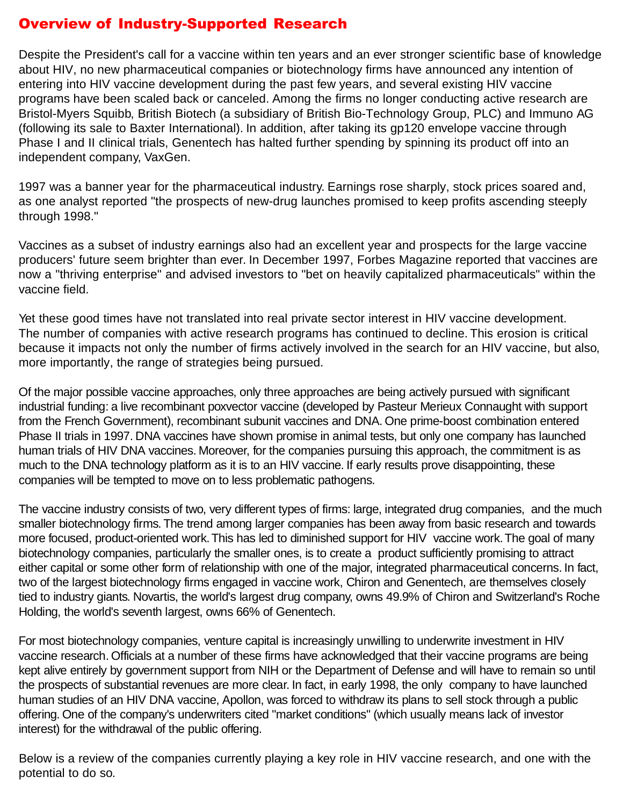## <span id="page-27-0"></span>Overview of Industry-Supported Research

Despite the President's call for a vaccine within ten years and an ever stronger scientific base of knowledge about HIV, no new pharmaceutical companies or biotechnology firms have announced any intention of entering into HIV vaccine development during the past few years, and several existing HIV vaccine programs have been scaled back or canceled. Among the firms no longer conducting active research are Bristol-Myers Squibb, British Biotech (a subsidiary of British Bio-Technology Group, PLC) and Immuno AG (following its sale to Baxter International). In addition, after taking its gp120 envelope vaccine through Phase I and II clinical trials, Genentech has halted further spending by spinning its product off into an independent company, VaxGen.

1997 was a banner year for the pharmaceutical industry. Earnings rose sharply, stock prices soared and, as one analyst reported "the prospects of new-drug launches promised to keep profits ascending steeply through 1998."

Vaccines as a subset of industry earnings also had an excellent year and prospects for the large vaccine producers' future seem brighter than ever. In December 1997, Forbes Magazine reported that vaccines are now a "thriving enterprise" and advised investors to "bet on heavily capitalized pharmaceuticals" within the vaccine field.

Yet these good times have not translated into real private sector interest in HIV vaccine development. The number of companies with active research programs has continued to decline. This erosion is critical because it impacts not only the number of firms actively involved in the search for an HIV vaccine, but also, more importantly, the range of strategies being pursued.

Of the major possible vaccine approaches, only three approaches are being actively pursued with significant industrial funding: a live recombinant poxvector vaccine (developed by Pasteur Merieux Connaught with support from the French Government), recombinant subunit vaccines and DNA. One prime-boost combination entered Phase II trials in 1997. DNA vaccines have shown promise in animal tests, but only one company has launched human trials of HIV DNA vaccines. Moreover, for the companies pursuing this approach, the commitment is as much to the DNA technology platform as it is to an HIV vaccine. If early results prove disappointing, these companies will be tempted to move on to less problematic pathogens.

The vaccine industry consists of two, very different types of firms: large, integrated drug companies, and the much smaller biotechnology firms. The trend among larger companies has been away from basic research and towards more focused, product-oriented work. This has led to diminished support for HIV vaccine work. The goal of many biotechnology companies, particularly the smaller ones, is to create a product sufficiently promising to attract either capital or some other form of relationship with one of the major, integrated pharmaceutical concerns. In fact, two of the largest biotechnology firms engaged in vaccine work, Chiron and Genentech, are themselves closely tied to industry giants. Novartis, the world's largest drug company, owns 49.9% of Chiron and Switzerland's Roche Holding, the world's seventh largest, owns 66% of Genentech.

For most biotechnology companies, venture capital is increasingly unwilling to underwrite investment in HIV vaccine research. Officials at a number of these firms have acknowledged that their vaccine programs are being kept alive entirely by government support from NIH or the Department of Defense and will have to remain so until the prospects of substantial revenues are more clear. In fact, in early 1998, the only company to have launched human studies of an HIV DNA vaccine, Apollon, was forced to withdraw its plans to sell stock through a public offering. One of the company's underwriters cited "market conditions" (which usually means lack of investor interest) for the withdrawal of the public offering.

Below is a review of the companies currently playing a key role in HIV vaccine research, and one with the potential to do so.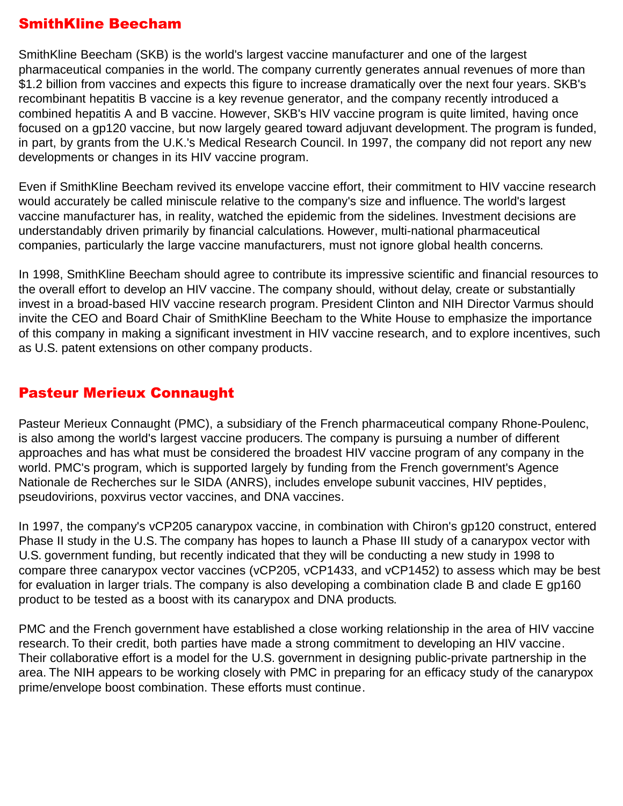## <span id="page-28-0"></span>SmithKline Beecham

SmithKline Beecham (SKB) is the world's largest vaccine manufacturer and one of the largest pharmaceutical companies in the world. The company currently generates annual revenues of more than \$1.2 billion from vaccines and expects this figure to increase dramatically over the next four years. SKB's recombinant hepatitis B vaccine is a key revenue generator, and the company recently introduced a combined hepatitis A and B vaccine. However, SKB's HIV vaccine program is quite limited, having once focused on a gp120 vaccine, but now largely geared toward adjuvant development. The program is funded, in part, by grants from the U.K.'s Medical Research Council. In 1997, the company did not report any new developments or changes in its HIV vaccine program.

Even if SmithKline Beecham revived its envelope vaccine effort, their commitment to HIV vaccine research would accurately be called miniscule relative to the company's size and influence. The world's largest vaccine manufacturer has, in reality, watched the epidemic from the sidelines. Investment decisions are understandably driven primarily by financial calculations. However, multi-national pharmaceutical companies, particularly the large vaccine manufacturers, must not ignore global health concerns.

In 1998, SmithKline Beecham should agree to contribute its impressive scientific and financial resources to the overall effort to develop an HIV vaccine. The company should, without delay, create or substantially invest in a broad-based HIV vaccine research program. President Clinton and NIH Director Varmus should invite the CEO and Board Chair of SmithKline Beecham to the White House to emphasize the importance of this company in making a significant investment in HIV vaccine research, and to explore incentives, such as U.S. patent extensions on other company products.

#### Pasteur Merieux Connaught

Pasteur Merieux Connaught (PMC), a subsidiary of the French pharmaceutical company Rhone-Poulenc, is also among the world's largest vaccine producers. The company is pursuing a number of different approaches and has what must be considered the broadest HIV vaccine program of any company in the world. PMC's program, which is supported largely by funding from the French government's Agence Nationale de Recherches sur le SIDA (ANRS), includes envelope subunit vaccines, HIV peptides, pseudovirions, poxvirus vector vaccines, and DNA vaccines.

In 1997, the company's vCP205 canarypox vaccine, in combination with Chiron's gp120 construct, entered Phase II study in the U.S. The company has hopes to launch a Phase III study of a canarypox vector with U.S. government funding, but recently indicated that they will be conducting a new study in 1998 to compare three canarypox vector vaccines (vCP205, vCP1433, and vCP1452) to assess which may be best for evaluation in larger trials. The company is also developing a combination clade B and clade E gp160 product to be tested as a boost with its canarypox and DNA products.

PMC and the French government have established a close working relationship in the area of HIV vaccine research. To their credit, both parties have made a strong commitment to developing an HIV vaccine. Their collaborative effort is a model for the U.S. government in designing public-private partnership in the area. The NIH appears to be working closely with PMC in preparing for an efficacy study of the canarypox prime/envelope boost combination. These efforts must continue.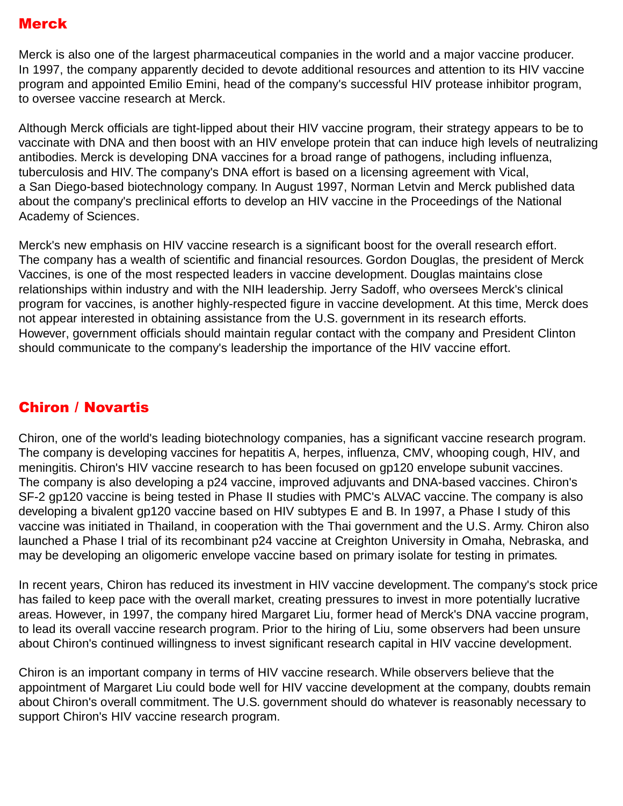## <span id="page-29-0"></span>Merck

Merck is also one of the largest pharmaceutical companies in the world and a major vaccine producer. In 1997, the company apparently decided to devote additional resources and attention to its HIV vaccine program and appointed Emilio Emini, head of the company's successful HIV protease inhibitor program, to oversee vaccine research at Merck.

Although Merck officials are tight-lipped about their HIV vaccine program, their strategy appears to be to vaccinate with DNA and then boost with an HIV envelope protein that can induce high levels of neutralizing antibodies. Merck is developing DNA vaccines for a broad range of pathogens, including influenza, tuberculosis and HIV. The company's DNA effort is based on a licensing agreement with Vical, a San Diego-based biotechnology company. In August 1997, Norman Letvin and Merck published data about the company's preclinical efforts to develop an HIV vaccine in the Proceedings of the National Academy of Sciences.

Merck's new emphasis on HIV vaccine research is a significant boost for the overall research effort. The company has a wealth of scientific and financial resources. Gordon Douglas, the president of Merck Vaccines, is one of the most respected leaders in vaccine development. Douglas maintains close relationships within industry and with the NIH leadership. Jerry Sadoff, who oversees Merck's clinical program for vaccines, is another highly-respected figure in vaccine development. At this time, Merck does not appear interested in obtaining assistance from the U.S. government in its research efforts. However, government officials should maintain regular contact with the company and President Clinton should communicate to the company's leadership the importance of the HIV vaccine effort.

## Chiron / Novartis

Chiron, one of the world's leading biotechnology companies, has a significant vaccine research program. The company is developing vaccines for hepatitis A, herpes, influenza, CMV, whooping cough, HIV, and meningitis. Chiron's HIV vaccine research to has been focused on gp120 envelope subunit vaccines. The company is also developing a p24 vaccine, improved adjuvants and DNA-based vaccines. Chiron's SF-2 gp120 vaccine is being tested in Phase II studies with PMC's ALVAC vaccine. The company is also developing a bivalent gp120 vaccine based on HIV subtypes E and B. In 1997, a Phase I study of this vaccine was initiated in Thailand, in cooperation with the Thai government and the U.S. Army. Chiron also launched a Phase I trial of its recombinant p24 vaccine at Creighton University in Omaha, Nebraska, and may be developing an oligomeric envelope vaccine based on primary isolate for testing in primates.

In recent years, Chiron has reduced its investment in HIV vaccine development. The company's stock price has failed to keep pace with the overall market, creating pressures to invest in more potentially lucrative areas. However, in 1997, the company hired Margaret Liu, former head of Merck's DNA vaccine program, to lead its overall vaccine research program. Prior to the hiring of Liu, some observers had been unsure about Chiron's continued willingness to invest significant research capital in HIV vaccine development.

Chiron is an important company in terms of HIV vaccine research. While observers believe that the appointment of Margaret Liu could bode well for HIV vaccine development at the company, doubts remain about Chiron's overall commitment. The U.S. government should do whatever is reasonably necessary to support Chiron's HIV vaccine research program.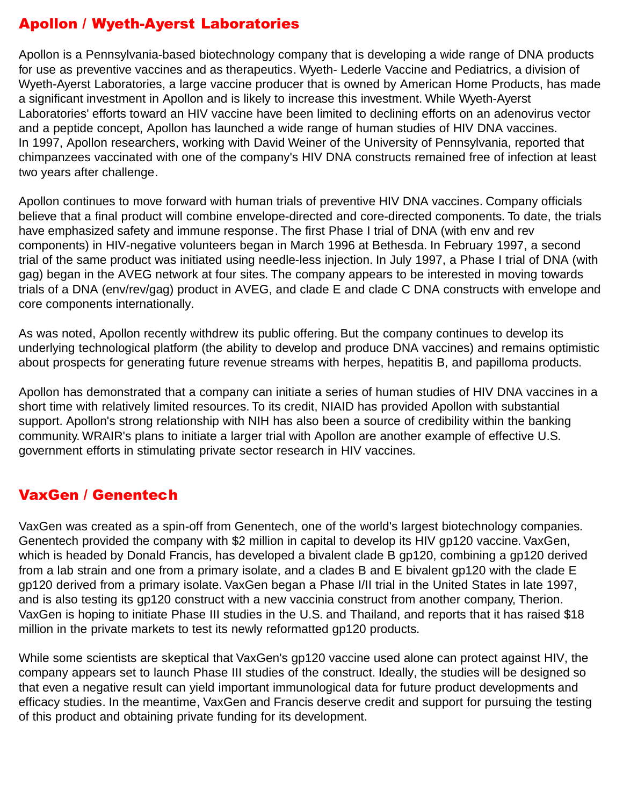## <span id="page-30-0"></span>Apollon / Wyeth-Ayerst Laboratories

Apollon is a Pennsylvania-based biotechnology company that is developing a wide range of DNA products for use as preventive vaccines and as therapeutics. Wyeth- Lederle Vaccine and Pediatrics, a division of Wyeth-Ayerst Laboratories, a large vaccine producer that is owned by American Home Products, has made a significant investment in Apollon and is likely to increase this investment. While Wyeth-Ayerst Laboratories' efforts toward an HIV vaccine have been limited to declining efforts on an adenovirus vector and a peptide concept, Apollon has launched a wide range of human studies of HIV DNA vaccines. In 1997, Apollon researchers, working with David Weiner of the University of Pennsylvania, reported that chimpanzees vaccinated with one of the company's HIV DNA constructs remained free of infection at least two years after challenge.

Apollon continues to move forward with human trials of preventive HIV DNA vaccines. Company officials believe that a final product will combine envelope-directed and core-directed components. To date, the trials have emphasized safety and immune response. The first Phase I trial of DNA (with env and rev components) in HIV-negative volunteers began in March 1996 at Bethesda. In February 1997, a second trial of the same product was initiated using needle-less injection. In July 1997, a Phase I trial of DNA (with gag) began in the AVEG network at four sites. The company appears to be interested in moving towards trials of a DNA (env/rev/gag) product in AVEG, and clade E and clade C DNA constructs with envelope and core components internationally.

As was noted, Apollon recently withdrew its public offering. But the company continues to develop its underlying technological platform (the ability to develop and produce DNA vaccines) and remains optimistic about prospects for generating future revenue streams with herpes, hepatitis B, and papilloma products.

Apollon has demonstrated that a company can initiate a series of human studies of HIV DNA vaccines in a short time with relatively limited resources. To its credit, NIAID has provided Apollon with substantial support. Apollon's strong relationship with NIH has also been a source of credibility within the banking community. WRAIR's plans to initiate a larger trial with Apollon are another example of effective U.S. government efforts in stimulating private sector research in HIV vaccines.

## VaxGen / Genentech

VaxGen was created as a spin-off from Genentech, one of the world's largest biotechnology companies. Genentech provided the company with \$2 million in capital to develop its HIV gp120 vaccine. VaxGen, which is headed by Donald Francis, has developed a bivalent clade B gp120, combining a gp120 derived from a lab strain and one from a primary isolate, and a clades B and E bivalent gp120 with the clade E gp120 derived from a primary isolate. VaxGen began a Phase I/II trial in the United States in late 1997, and is also testing its gp120 construct with a new vaccinia construct from another company, Therion. VaxGen is hoping to initiate Phase III studies in the U.S. and Thailand, and reports that it has raised \$18 million in the private markets to test its newly reformatted gp120 products.

While some scientists are skeptical that VaxGen's gp120 vaccine used alone can protect against HIV, the company appears set to launch Phase III studies of the construct. Ideally, the studies will be designed so that even a negative result can yield important immunological data for future product developments and efficacy studies. In the meantime, VaxGen and Francis deserve credit and support for pursuing the testing of this product and obtaining private funding for its development.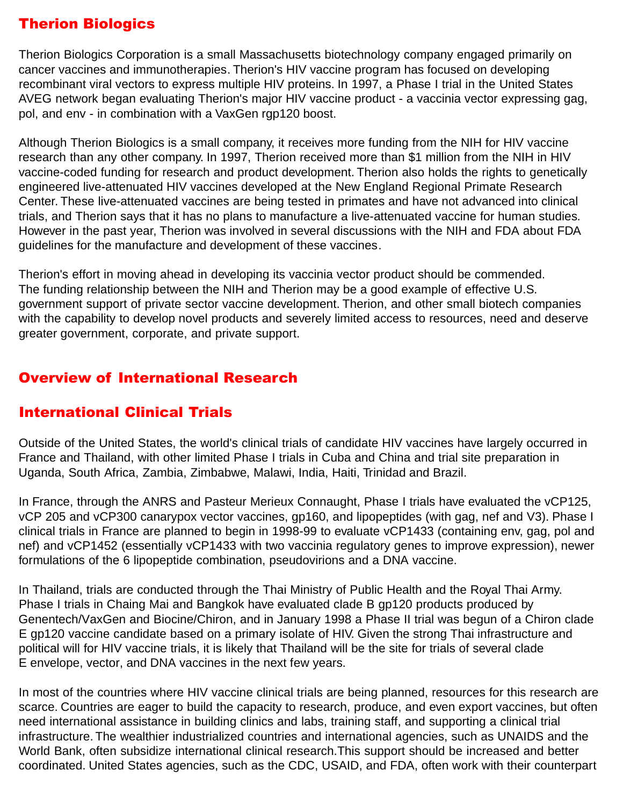## <span id="page-31-0"></span>Therion Biologics

Therion Biologics Corporation is a small Massachusetts biotechnology company engaged primarily on cancer vaccines and immunotherapies. Therion's HIV vaccine program has focused on developing recombinant viral vectors to express multiple HIV proteins. In 1997, a Phase I trial in the United States AVEG network began evaluating Therion's major HIV vaccine product - a vaccinia vector expressing gag, pol, and env - in combination with a VaxGen rgp120 boost.

Although Therion Biologics is a small company, it receives more funding from the NIH for HIV vaccine research than any other company. In 1997, Therion received more than \$1 million from the NIH in HIV vaccine-coded funding for research and product development. Therion also holds the rights to genetically engineered live-attenuated HIV vaccines developed at the New England Regional Primate Research Center. These live-attenuated vaccines are being tested in primates and have not advanced into clinical trials, and Therion says that it has no plans to manufacture a live-attenuated vaccine for human studies. However in the past year, Therion was involved in several discussions with the NIH and FDA about FDA guidelines for the manufacture and development of these vaccines.

Therion's effort in moving ahead in developing its vaccinia vector product should be commended. The funding relationship between the NIH and Therion may be a good example of effective U.S. government support of private sector vaccine development. Therion, and other small biotech companies with the capability to develop novel products and severely limited access to resources, need and deserve greater government, corporate, and private support.

## Overview of International Research

#### International Clinical Trials

Outside of the United States, the world's clinical trials of candidate HIV vaccines have largely occurred in France and Thailand, with other limited Phase I trials in Cuba and China and trial site preparation in Uganda, South Africa, Zambia, Zimbabwe, Malawi, India, Haiti, Trinidad and Brazil.

In France, through the ANRS and Pasteur Merieux Connaught, Phase I trials have evaluated the vCP125, vCP 205 and vCP300 canarypox vector vaccines, gp160, and lipopeptides (with gag, nef and V3). Phase I clinical trials in France are planned to begin in 1998-99 to evaluate vCP1433 (containing env, gag, pol and nef) and vCP1452 (essentially vCP1433 with two vaccinia regulatory genes to improve expression), newer formulations of the 6 lipopeptide combination, pseudovirions and a DNA vaccine.

In Thailand, trials are conducted through the Thai Ministry of Public Health and the Royal Thai Army. Phase I trials in Chaing Mai and Bangkok have evaluated clade B gp120 products produced by Genentech/VaxGen and Biocine/Chiron, and in January 1998 a Phase II trial was begun of a Chiron clade E gp120 vaccine candidate based on a primary isolate of HIV. Given the strong Thai infrastructure and political will for HIV vaccine trials, it is likely that Thailand will be the site for trials of several clade E envelope, vector, and DNA vaccines in the next few years.

In most of the countries where HIV vaccine clinical trials are being planned, resources for this research are scarce. Countries are eager to build the capacity to research, produce, and even export vaccines, but often need international assistance in building clinics and labs, training staff, and supporting a clinical trial infrastructure. The wealthier industrialized countries and international agencies, such as UNAIDS and the World Bank, often subsidize international clinical research.This support should be increased and better coordinated. United States agencies, such as the CDC, USAID, and FDA, often work with their counterpart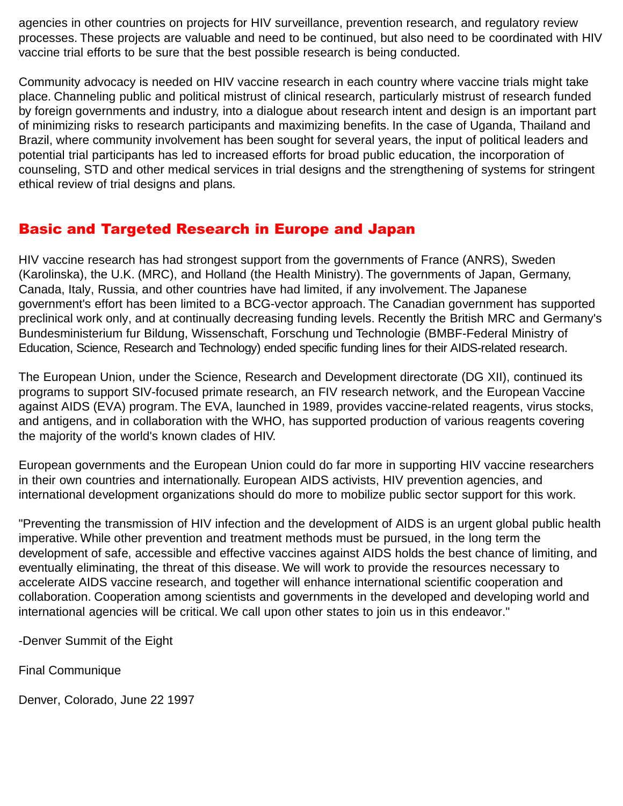<span id="page-32-0"></span>agencies in other countries on projects for HIV surveillance, prevention research, and regulatory review processes. These projects are valuable and need to be continued, but also need to be coordinated with HIV vaccine trial efforts to be sure that the best possible research is being conducted.

Community advocacy is needed on HIV vaccine research in each country where vaccine trials might take place. Channeling public and political mistrust of clinical research, particularly mistrust of research funded by foreign governments and industry, into a dialogue about research intent and design is an important part of minimizing risks to research participants and maximizing benefits. In the case of Uganda, Thailand and Brazil, where community involvement has been sought for several years, the input of political leaders and potential trial participants has led to increased efforts for broad public education, the incorporation of counseling, STD and other medical services in trial designs and the strengthening of systems for stringent ethical review of trial designs and plans.

## Basic and Targeted Research in Europe and Japan

HIV vaccine research has had strongest support from the governments of France (ANRS), Sweden (Karolinska), the U.K. (MRC), and Holland (the Health Ministry). The governments of Japan, Germany, Canada, Italy, Russia, and other countries have had limited, if any involvement. The Japanese government's effort has been limited to a BCG-vector approach. The Canadian government has supported preclinical work only, and at continually decreasing funding levels. Recently the British MRC and Germany's Bundesministerium fur Bildung, Wissenschaft, Forschung und Technologie (BMBF-Federal Ministry of Education, Science, Research and Technology) ended specific funding lines for their AIDS-related research.

The European Union, under the Science, Research and Development directorate (DG XII), continued its programs to support SIV-focused primate research, an FIV research network, and the European Vaccine against AIDS (EVA) program. The EVA, launched in 1989, provides vaccine-related reagents, virus stocks, and antigens, and in collaboration with the WHO, has supported production of various reagents covering the majority of the world's known clades of HIV.

European governments and the European Union could do far more in supporting HIV vaccine researchers in their own countries and internationally. European AIDS activists, HIV prevention agencies, and international development organizations should do more to mobilize public sector support for this work.

"Preventing the transmission of HIV infection and the development of AIDS is an urgent global public health imperative. While other prevention and treatment methods must be pursued, in the long term the development of safe, accessible and effective vaccines against AIDS holds the best chance of limiting, and eventually eliminating, the threat of this disease. We will work to provide the resources necessary to accelerate AIDS vaccine research, and together will enhance international scientific cooperation and collaboration. Cooperation among scientists and governments in the developed and developing world and international agencies will be critical. We call upon other states to join us in this endeavor."

-Denver Summit of the Eight

Final Communique

Denver, Colorado, June 22 1997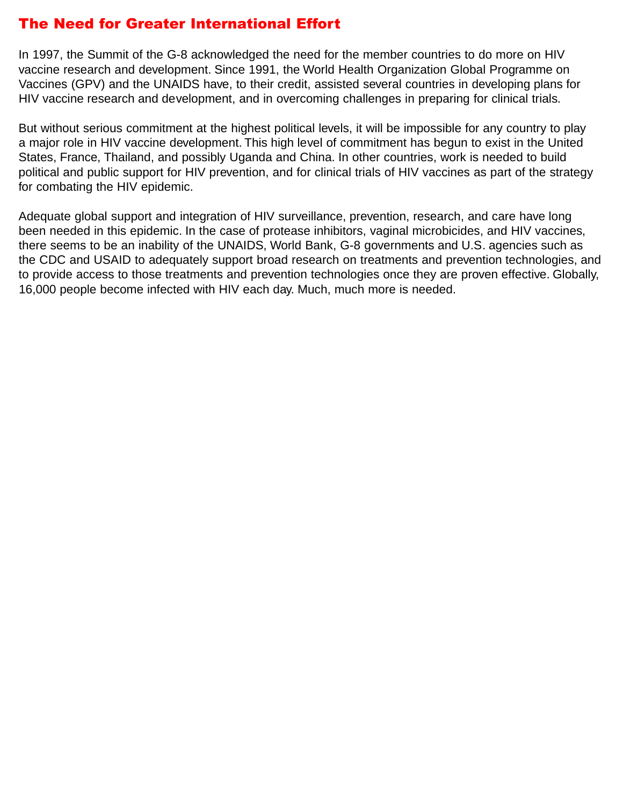## <span id="page-33-0"></span>The Need for Greater International Effort

In 1997, the Summit of the G-8 acknowledged the need for the member countries to do more on HIV vaccine research and development. Since 1991, the World Health Organization Global Programme on Vaccines (GPV) and the UNAIDS have, to their credit, assisted several countries in developing plans for HIV vaccine research and development, and in overcoming challenges in preparing for clinical trials.

But without serious commitment at the highest political levels, it will be impossible for any country to play a major role in HIV vaccine development. This high level of commitment has begun to exist in the United States, France, Thailand, and possibly Uganda and China. In other countries, work is needed to build political and public support for HIV prevention, and for clinical trials of HIV vaccines as part of the strategy for combating the HIV epidemic.

Adequate global support and integration of HIV surveillance, prevention, research, and care have long been needed in this epidemic. In the case of protease inhibitors, vaginal microbicides, and HIV vaccines, there seems to be an inability of the UNAIDS, World Bank, G-8 governments and U.S. agencies such as the CDC and USAID to adequately support broad research on treatments and prevention technologies, and to provide access to those treatments and prevention technologies once they are proven effective. Globally, 16,000 people become infected with HIV each day. Much, much more is needed.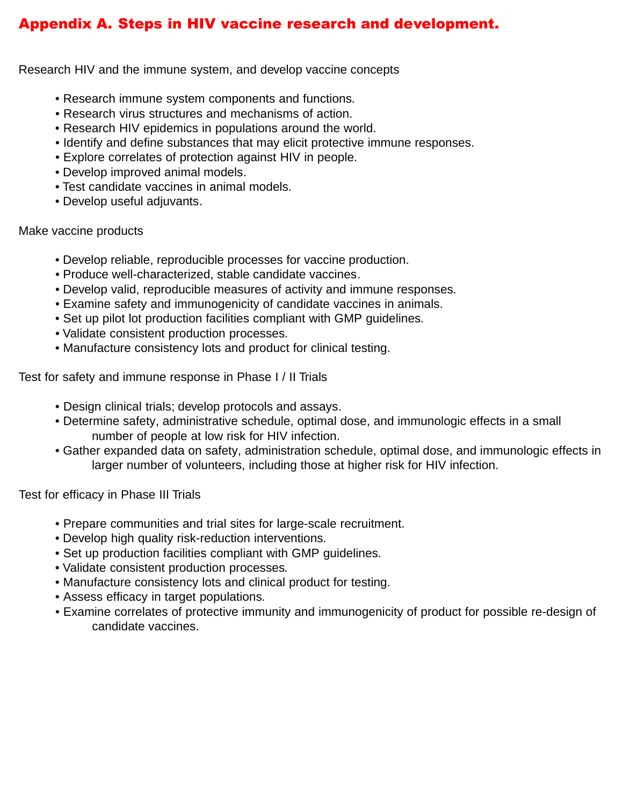## <span id="page-34-0"></span>Appendix A. Steps in HIV vaccine research and development.

Research HIV and the immune system, and develop vaccine concepts

- Research immune system components and functions.
- Research virus structures and mechanisms of action.
- Research HIV epidemics in populations around the world.
- Identify and define substances that may elicit protective immune responses.
- Explore correlates of protection against HIV in people.
- Develop improved animal models.
- Test candidate vaccines in animal models.
- Develop useful adjuvants.

Make vaccine products

- Develop reliable, reproducible processes for vaccine production.
- Produce well-characterized, stable candidate vaccines.
- Develop valid, reproducible measures of activity and immune responses.
- Examine safety and immunogenicity of candidate vaccines in animals.
- Set up pilot lot production facilities compliant with GMP guidelines.
- Validate consistent production processes.
- Manufacture consistency lots and product for clinical testing.

Test for safety and immune response in Phase I / II Trials

- Design clinical trials; develop protocols and assays.
- Determine safety, administrative schedule, optimal dose, and immunologic effects in a small number of people at low risk for HIV infection.
- Gather expanded data on safety, administration schedule, optimal dose, and immunologic effects in larger number of volunteers, including those at higher risk for HIV infection.

Test for efficacy in Phase III Trials

- Prepare communities and trial sites for large-scale recruitment.
- Develop high quality risk-reduction interventions.
- Set up production facilities compliant with GMP guidelines.
- Validate consistent production processes.
- Manufacture consistency lots and clinical product for testing.
- Assess efficacy in target populations.
- Examine correlates of protective immunity and immunogenicity of product for possible re-design of candidate vaccines.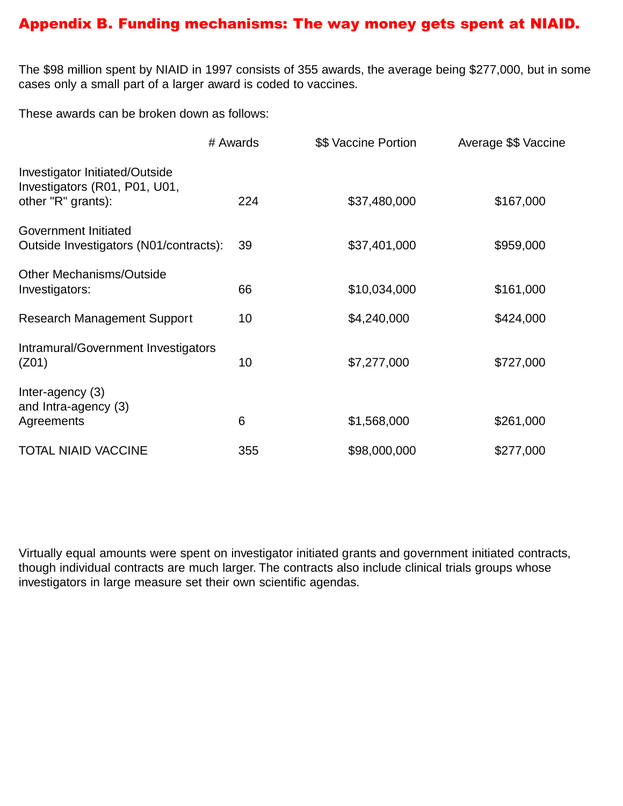#### <span id="page-35-0"></span>Appendix B. Funding mechanisms: The way money gets spent at NIAID.

The \$98 million spent by NIAID in 1997 consists of 355 awards, the average being \$277,000, but in some cases only a small part of a larger award is coded to vaccines.

These awards can be broken down as follows:

|                                                                                       | # Awards        | \$\$ Vaccine Portion | Average \$\$ Vaccine |
|---------------------------------------------------------------------------------------|-----------------|----------------------|----------------------|
| Investigator Initiated/Outside<br>Investigators (R01, P01, U01,<br>other "R" grants): | 224             | \$37,480,000         | \$167,000            |
| Government Initiated<br>Outside Investigators (N01/contracts):                        | 39              | \$37,401,000         | \$959,000            |
| <b>Other Mechanisms/Outside</b><br>Investigators:                                     | 66              | \$10,034,000         | \$161,000            |
| <b>Research Management Support</b>                                                    | 10 <sup>°</sup> | \$4,240,000          | \$424,000            |
| Intramural/Government Investigators<br>(Z01)                                          | 10              | \$7,277,000          | \$727,000            |
| Inter-agency (3)<br>and Intra-agency (3)<br>Agreements                                | 6               | \$1,568,000          | \$261,000            |
| <b>TOTAL NIAID VACCINE</b>                                                            | 355             | \$98,000,000         | \$277,000            |

Virtually equal amounts were spent on investigator initiated grants and government initiated contracts, though individual contracts are much larger. The contracts also include clinical trials groups whose investigators in large measure set their own scientific agendas.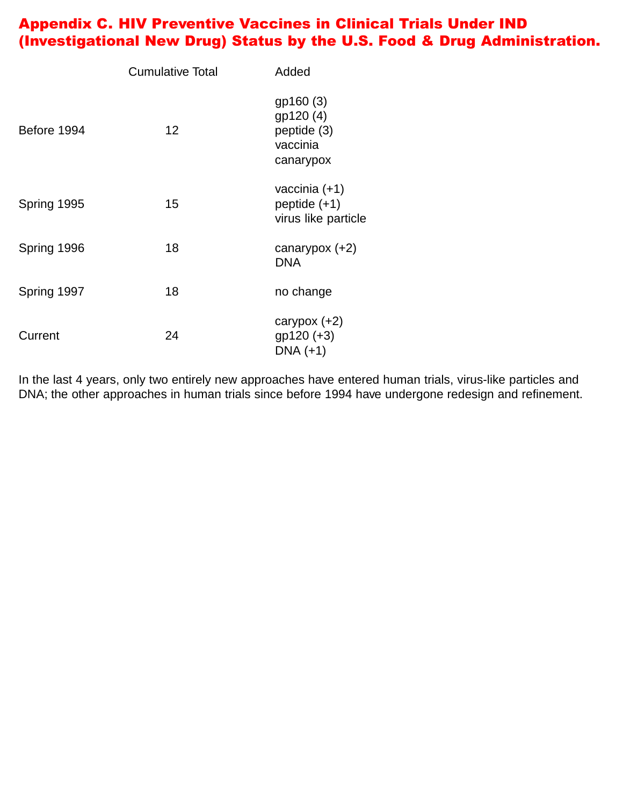## <span id="page-36-0"></span>Appendix C. HIV Preventive Vaccines in Clinical Trials Under IND (Investigational New Drug) Status by the U.S. Food & Drug Administration.

|             | <b>Cumulative Total</b> | Added                                                          |
|-------------|-------------------------|----------------------------------------------------------------|
| Before 1994 | 12                      | gp160 (3)<br>gp120 (4)<br>peptide (3)<br>vaccinia<br>canarypox |
| Spring 1995 | 15                      | vaccinia $(+1)$<br>peptide $(+1)$<br>virus like particle       |
| Spring 1996 | 18                      | canarypox $(+2)$<br><b>DNA</b>                                 |
| Spring 1997 | 18                      | no change                                                      |
| Current     | 24                      | carypox $(+2)$<br>gp120 (+3)<br>$DNA (+1)$                     |

In the last 4 years, only two entirely new approaches have entered human trials, virus-like particles and DNA; the other approaches in human trials since before 1994 have undergone redesign and refinement.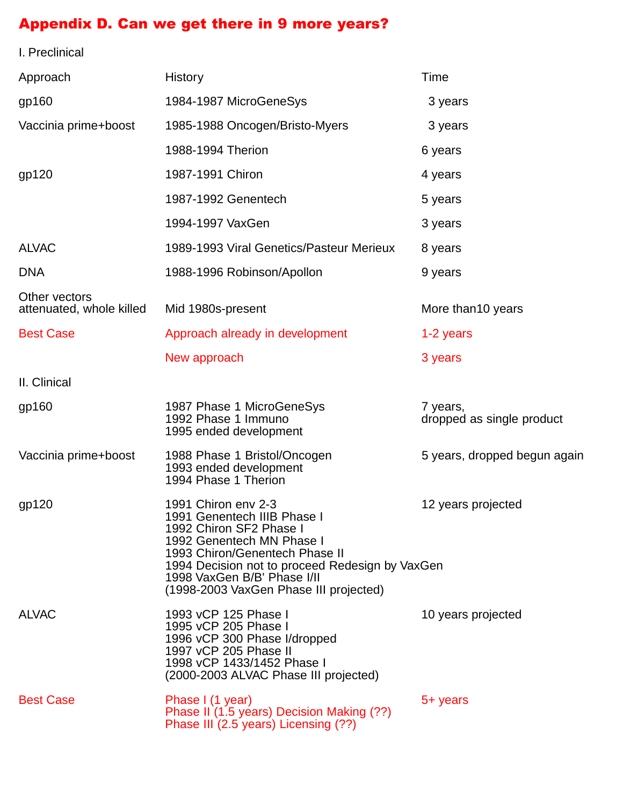#### <span id="page-37-0"></span>Appendix D. Can we get there in 9 more years?

I. Preclinical Approach History History **History** Time gp160 1984-1987 MicroGeneSys 3 years Vaccinia prime+boost 1985-1988 Oncogen/Bristo-Myers 3 years 1988-1994 Therion 6 years gp120 1987-1991 Chiron 4 years 1987-1992 Genentech 5 years 1994-1997 VaxGen 3 years ALVAC 1989-1993 Viral Genetics/Pasteur Merieux 8 years DNA 1988-1996 Robinson/Apollon 9 years Other vectors attenuated, whole killed Mid 1980s-present More than10 years Best Case The Approach already in development The 1-2 years New approach 3 years 3 years II. Clinical gp160 1987 Phase 1 MicroGeneSys 7 years,<br>1992 Phase 1 Immuno dropped as single product 1995 ended development Vaccinia prime+boost 1988 Phase 1 Bristol/Oncogen 5 years, dropped begun again 1993 ended development 1994 Phase 1 Therion gp120 1991 Chiron env 2-3 12 years projected 1991 Genentech IIIB Phase I 1992 Chiron SF2 Phase I 1992 Genentech MN Phase I 1993 Chiron/Genentech Phase II 1994 Decision not to proceed Redesign by VaxGen 1998 VaxGen B/B' Phase I/II (1998-2003 VaxGen Phase III projected) ALVAC 1993 vCP 125 Phase I 10 years projected 1995 vCP 205 Phase I 1996 vCP 300 Phase I/dropped 1997 vCP 205 Phase II 1998 vCP 1433/1452 Phase I (2000-2003 ALVAC Phase III projected) Best Case **Phase I** (1 year) 5+ years Phase II (1.5 years) Decision Making (??) Phase III (2.5 years) Licensing (??)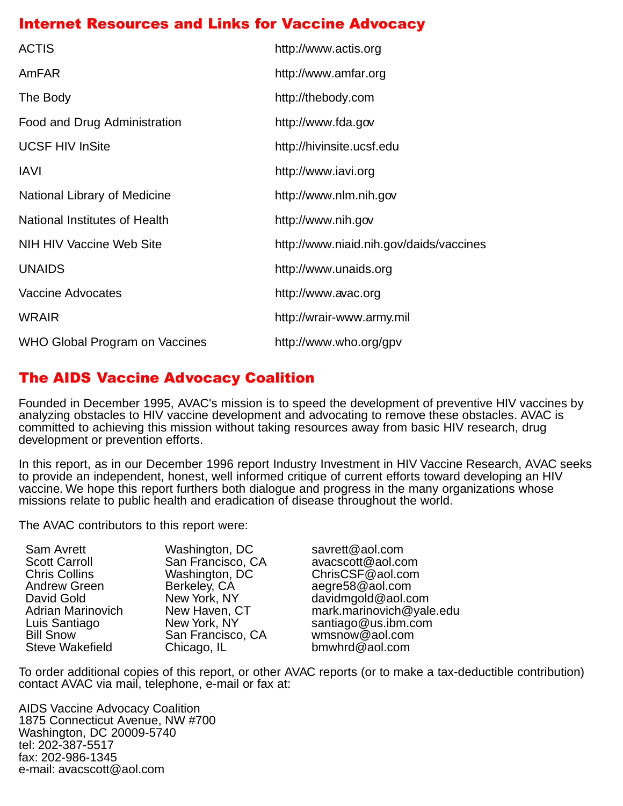## <span id="page-38-0"></span>Internet Resources and Links for Vaccine Advocacy

| <b>ACTIS</b>                    | http://www.actis.org                    |
|---------------------------------|-----------------------------------------|
| AmFAR                           | http://www.amfar.org                    |
| The Body                        | http://thebody.com                      |
| Food and Drug Administration    | http://www.fda.gov                      |
| <b>UCSF HIV InSite</b>          | http://hivinsite.ucsf.edu               |
| <b>IAVI</b>                     | http://www.iavi.org                     |
| National Library of Medicine    | http://www.nlm.nih.gov                  |
| National Institutes of Health   | http://www.nih.gov                      |
| <b>NIH HIV Vaccine Web Site</b> | http://www.niaid.nih.gov/daids/vaccines |
| <b>UNAIDS</b>                   | http://www.unaids.org                   |
| <b>Vaccine Advocates</b>        | http://www.avac.org                     |
| <b>WRAIR</b>                    | http://wrair-www.army.mil               |
| WHO Global Program on Vaccines  | http://www.who.org/gpv                  |

## The AIDS Vaccine Advocacy Coalition

Founded in December 1995, AVAC's mission is to speed the development of preventive HIV vaccines by analyzing obstacles to HIV vaccine development and advocating to remove these obstacles. AVAC is committed to achieving this mission without taking resources away from basic HIV research, drug development or prevention efforts.

In this report, as in our December 1996 report Industry Investment in HIV Vaccine Research, AVAC seeks to provide an independent, honest, well informed critique of current efforts toward developing an HIV vaccine. We hope this report furthers both dialogue and progress in the many organizations whose missions relate to public health and eradication of disease throughout the world.

The AVAC contributors to this report were:

| Washington, D  |
|----------------|
| San Francisco, |
| Washington, D  |
| Berkeley, CA   |
| New York, NY   |
| New Haven, C   |
| New York, NY   |
| San Francisco, |
| Chicago, IL    |
|                |

C savrett@aol.com , CA avacscott@aol.com<br>C. ChrisCSF@aol.com ChrisCSF@aol.com aegre58@aol.com davidmgold @aol.com<br>The Mark marinovich @val mark.marinovich@yale.edu santiago@us.ibm.com CA wmsnow@aol.com  $bm$ kefield Chicago, I.com

To order additional copies of this report, or other AVAC reports (or to make a tax-deductible contribution) contact AVAC via mail, telephone, e-mail or fax at:

AIDS Vaccine Advocacy Coalition 1875 Connecticut Avenue, NW #700 Washington, DC 20009-5740 tel: 202-387-5517 fax: 202-986-1345 e-mail: avacscott@aol.com